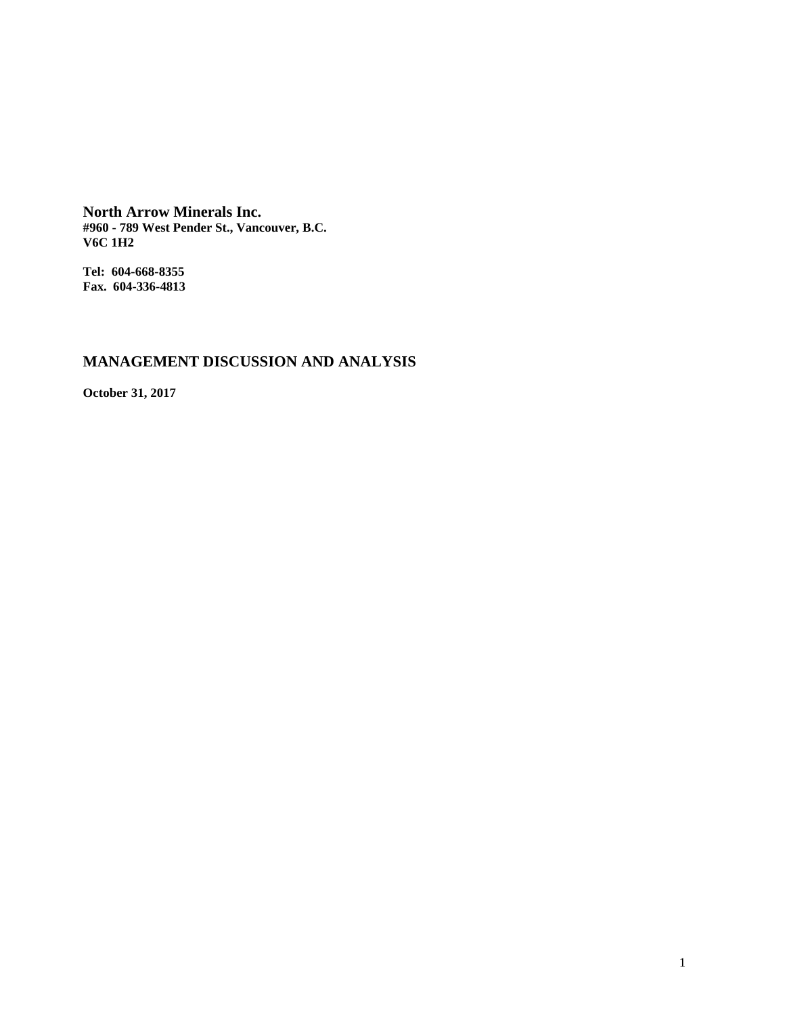**North Arrow Minerals Inc. #960 - 789 West Pender St., Vancouver, B.C. V6C 1H2**

**Tel: 604-668-8355 Fax. 604-336-4813**

# **MANAGEMENT DISCUSSION AND ANALYSIS**

**October 31, 2017**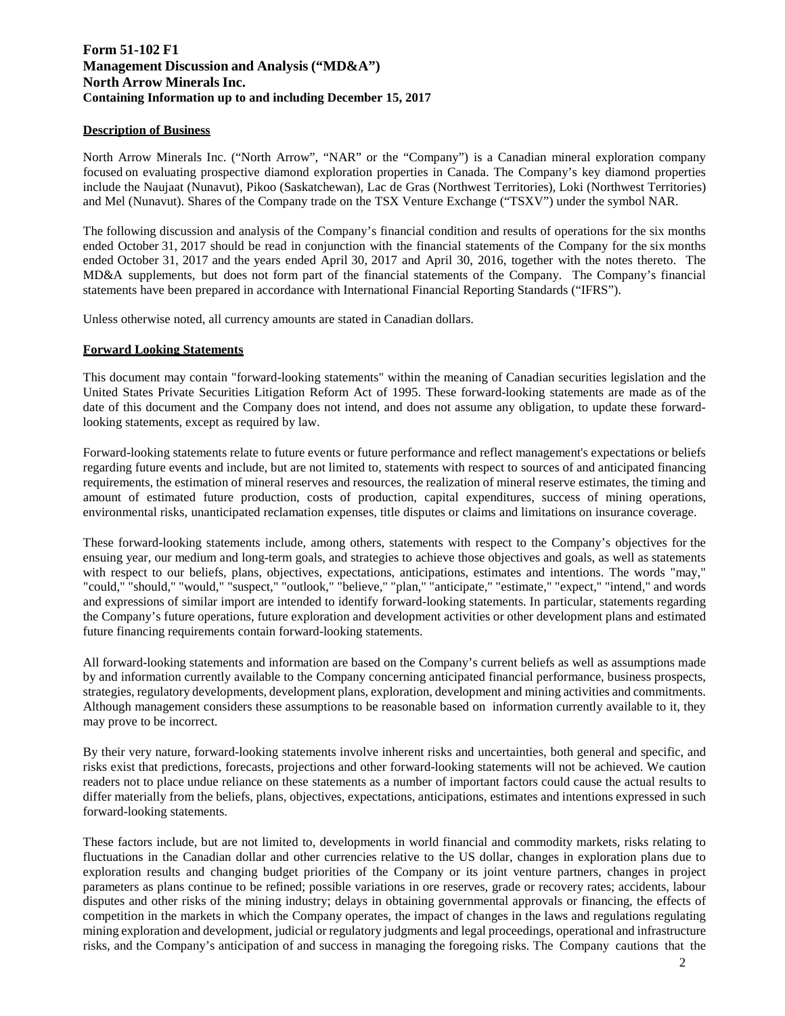# **Form 51-102 F1 Management Discussion and Analysis ("MD&A") North Arrow Minerals Inc. Containing Information up to and including December 15, 2017**

# **Description of Business**

North Arrow Minerals Inc. ("North Arrow", "NAR" or the "Company") is a Canadian mineral exploration company focused on evaluating prospective diamond exploration properties in Canada. The Company's key diamond properties include the Naujaat (Nunavut), Pikoo (Saskatchewan), Lac de Gras (Northwest Territories), Loki (Northwest Territories) and Mel (Nunavut). Shares of the Company trade on the TSX Venture Exchange ("TSXV") under the symbol NAR.

The following discussion and analysis of the Company's financial condition and results of operations for the six months ended October 31, 2017 should be read in conjunction with the financial statements of the Company for the six months ended October 31, 2017 and the years ended April 30, 2017 and April 30, 2016, together with the notes thereto. The MD&A supplements, but does not form part of the financial statements of the Company. The Company's financial statements have been prepared in accordance with International Financial Reporting Standards ("IFRS").

Unless otherwise noted, all currency amounts are stated in Canadian dollars.

### **Forward Looking Statements**

This document may contain "forward-looking statements" within the meaning of Canadian securities legislation and the United States Private Securities Litigation Reform Act of 1995. These forward-looking statements are made as of the date of this document and the Company does not intend, and does not assume any obligation, to update these forwardlooking statements, except as required by law.

Forward-looking statements relate to future events or future performance and reflect management's expectations or beliefs regarding future events and include, but are not limited to, statements with respect to sources of and anticipated financing requirements, the estimation of mineral reserves and resources, the realization of mineral reserve estimates, the timing and amount of estimated future production, costs of production, capital expenditures, success of mining operations, environmental risks, unanticipated reclamation expenses, title disputes or claims and limitations on insurance coverage.

These forward-looking statements include, among others, statements with respect to the Company's objectives for the ensuing year, our medium and long-term goals, and strategies to achieve those objectives and goals, as well as statements with respect to our beliefs, plans, objectives, expectations, anticipations, estimates and intentions. The words "may," "could," "should," "would," "suspect," "outlook," "believe," "plan," "anticipate," "estimate," "expect," "intend," and words and expressions of similar import are intended to identify forward-looking statements. In particular, statements regarding the Company's future operations, future exploration and development activities or other development plans and estimated future financing requirements contain forward-looking statements.

All forward-looking statements and information are based on the Company's current beliefs as well as assumptions made by and information currently available to the Company concerning anticipated financial performance, business prospects, strategies, regulatory developments, development plans, exploration, development and mining activities and commitments. Although management considers these assumptions to be reasonable based on information currently available to it, they may prove to be incorrect.

By their very nature, forward-looking statements involve inherent risks and uncertainties, both general and specific, and risks exist that predictions, forecasts, projections and other forward-looking statements will not be achieved. We caution readers not to place undue reliance on these statements as a number of important factors could cause the actual results to differ materially from the beliefs, plans, objectives, expectations, anticipations, estimates and intentions expressed in such forward-looking statements.

These factors include, but are not limited to, developments in world financial and commodity markets, risks relating to fluctuations in the Canadian dollar and other currencies relative to the US dollar, changes in exploration plans due to exploration results and changing budget priorities of the Company or its joint venture partners, changes in project parameters as plans continue to be refined; possible variations in ore reserves, grade or recovery rates; accidents, labour disputes and other risks of the mining industry; delays in obtaining governmental approvals or financing, the effects of competition in the markets in which the Company operates, the impact of changes in the laws and regulations regulating mining exploration and development, judicial or regulatory judgments and legal proceedings, operational and infrastructure risks, and the Company's anticipation of and success in managing the foregoing risks. The Company cautions that the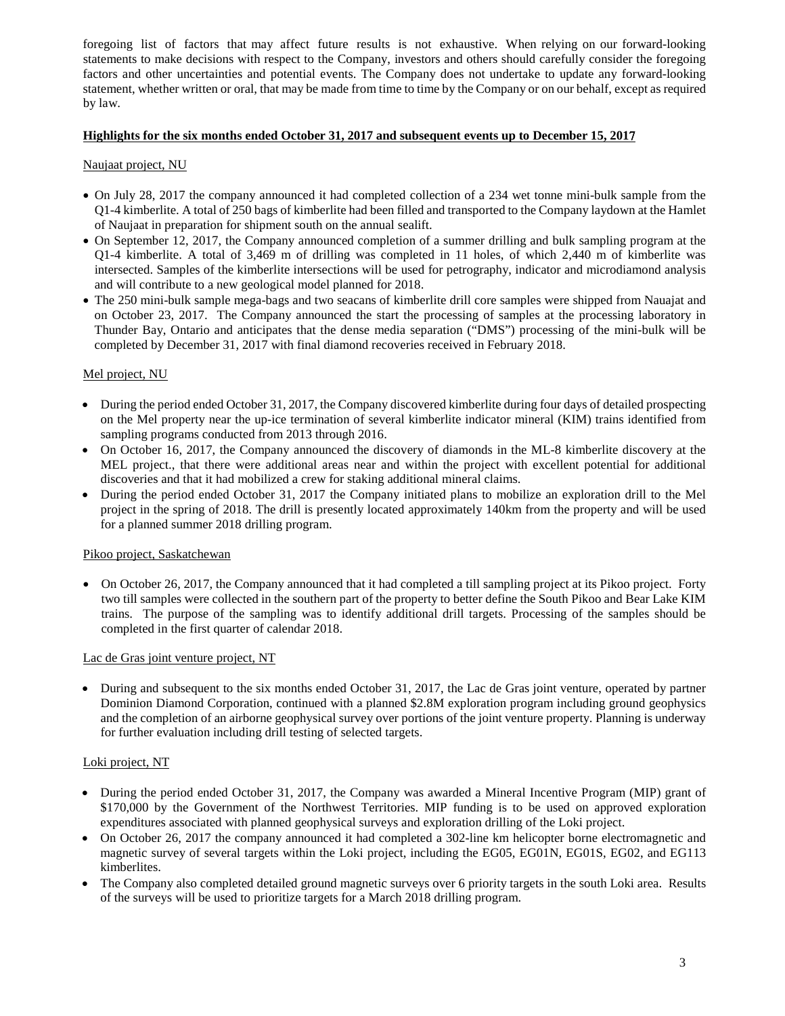foregoing list of factors that may affect future results is not exhaustive. When relying on our forward-looking statements to make decisions with respect to the Company, investors and others should carefully consider the foregoing factors and other uncertainties and potential events. The Company does not undertake to update any forward-looking statement, whether written or oral, that may be made from time to time by the Company or on our behalf, except as required by law.

# **Highlights for the six months ended October 31, 2017 and subsequent events up to December 15, 201**7

# Naujaat project, NU

- On July 28, 2017 the company announced it had completed collection of a 234 wet tonne mini-bulk sample from the Q1-4 kimberlite. A total of 250 bags of kimberlite had been filled and transported to the Company laydown at the Hamlet of Naujaat in preparation for shipment south on the annual sealift.
- On September 12, 2017, the Company announced completion of a summer drilling and bulk sampling program at the Q1-4 kimberlite. A total of 3,469 m of drilling was completed in 11 holes, of which 2,440 m of kimberlite was intersected. Samples of the kimberlite intersections will be used for petrography, indicator and microdiamond analysis and will contribute to a new geological model planned for 2018.
- The 250 mini-bulk sample mega-bags and two seacans of kimberlite drill core samples were shipped from Nauajat and on October 23, 2017. The Company announced the start the processing of samples at the processing laboratory in Thunder Bay, Ontario and anticipates that the dense media separation ("DMS") processing of the mini-bulk will be completed by December 31, 2017 with final diamond recoveries received in February 2018.

# Mel project, NU

- During the period ended October 31, 2017, the Company discovered kimberlite during four days of detailed prospecting on the Mel property near the up-ice termination of several kimberlite indicator mineral (KIM) trains identified from sampling programs conducted from 2013 through 2016.
- On October 16, 2017, the Company announced the discovery of diamonds in the ML-8 kimberlite discovery at the MEL project., that there were additional areas near and within the project with excellent potential for additional discoveries and that it had mobilized a crew for staking additional mineral claims.
- During the period ended October 31, 2017 the Company initiated plans to mobilize an exploration drill to the Mel project in the spring of 2018. The drill is presently located approximately 140km from the property and will be used for a planned summer 2018 drilling program.

#### Pikoo project, Saskatchewan

• On October 26, 2017, the Company announced that it had completed a till sampling project at its Pikoo project. Forty two till samples were collected in the southern part of the property to better define the South Pikoo and Bear Lake KIM trains. The purpose of the sampling was to identify additional drill targets. Processing of the samples should be completed in the first quarter of calendar 2018.

#### Lac de Gras joint venture project, NT

• During and subsequent to the six months ended October 31, 2017, the Lac de Gras joint venture, operated by partner Dominion Diamond Corporation, continued with a planned \$2.8M exploration program including ground geophysics and the completion of an airborne geophysical survey over portions of the joint venture property. Planning is underway for further evaluation including drill testing of selected targets.

# Loki project, NT

- During the period ended October 31, 2017, the Company was awarded a Mineral Incentive Program (MIP) grant of \$170,000 by the Government of the Northwest Territories. MIP funding is to be used on approved exploration expenditures associated with planned geophysical surveys and exploration drilling of the Loki project.
- On October 26, 2017 the company announced it had completed a 302-line km helicopter borne electromagnetic and magnetic survey of several targets within the Loki project, including the EG05, EG01N, EG01S, EG02, and EG113 kimberlites.
- The Company also completed detailed ground magnetic surveys over 6 priority targets in the south Loki area. Results of the surveys will be used to prioritize targets for a March 2018 drilling program.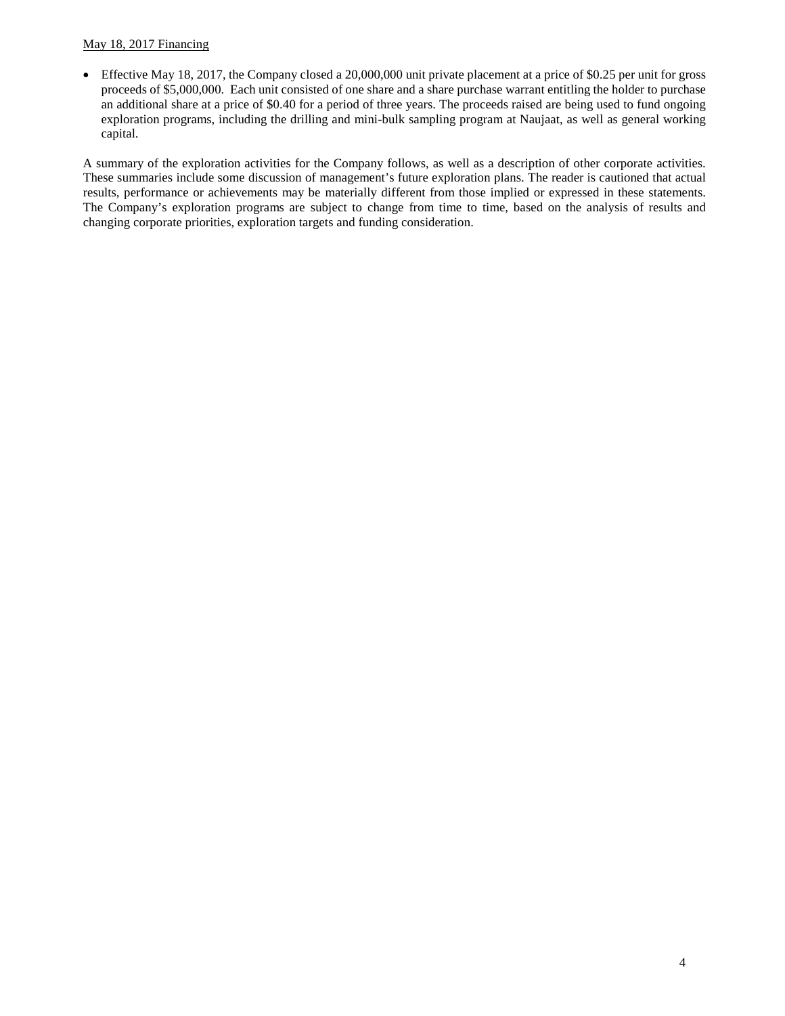# May 18, 2017 Financing

• Effective May 18, 2017, the Company closed a 20,000,000 unit private placement at a price of \$0.25 per unit for gross proceeds of \$5,000,000. Each unit consisted of one share and a share purchase warrant entitling the holder to purchase an additional share at a price of \$0.40 for a period of three years. The proceeds raised are being used to fund ongoing exploration programs, including the drilling and mini-bulk sampling program at Naujaat, as well as general working capital.

A summary of the exploration activities for the Company follows, as well as a description of other corporate activities. These summaries include some discussion of management's future exploration plans. The reader is cautioned that actual results, performance or achievements may be materially different from those implied or expressed in these statements. The Company's exploration programs are subject to change from time to time, based on the analysis of results and changing corporate priorities, exploration targets and funding consideration.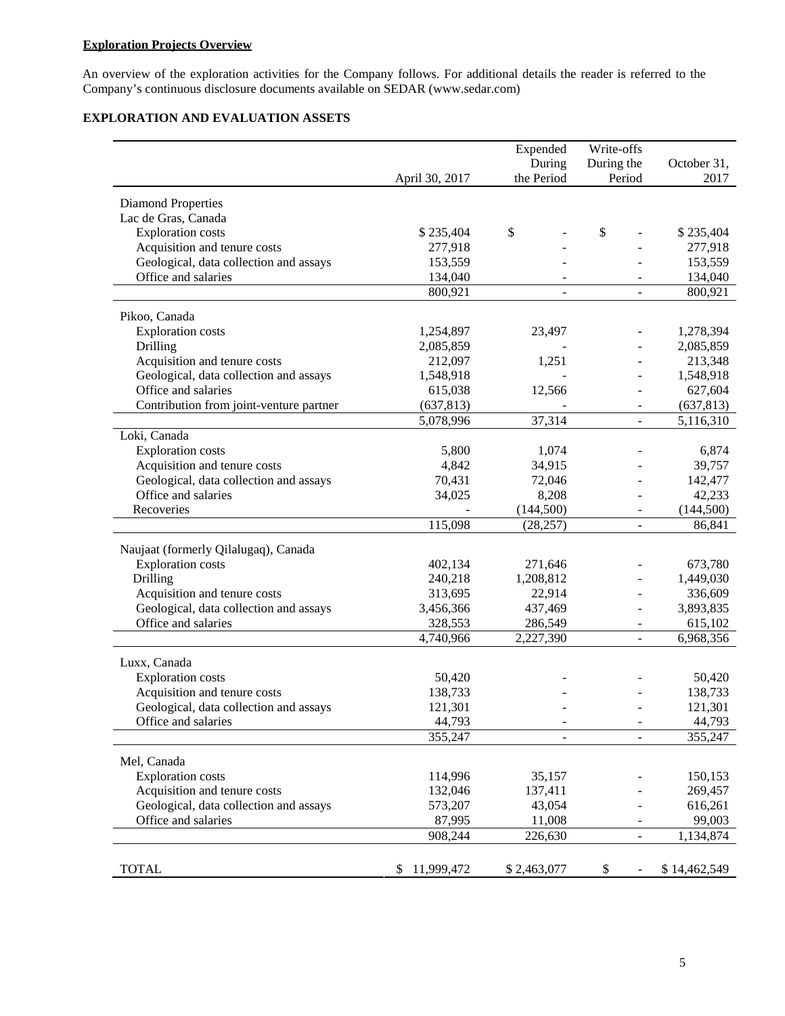# **Exploration Projects Overview**

An overview of the exploration activities for the Company follows. For additional details the reader is referred to the Company's continuous disclosure documents available on [SEDAR \(www.sedar.com](http://www.sedar.com/))

# **EXPLORATION AND EVALUATION ASSETS**

|                                          |                   | Expended                 | Write-offs               |                   |
|------------------------------------------|-------------------|--------------------------|--------------------------|-------------------|
|                                          |                   | During                   | During the               | October 31,       |
|                                          | April 30, 2017    | the Period               | Period                   | 2017              |
| <b>Diamond Properties</b>                |                   |                          |                          |                   |
| Lac de Gras, Canada                      |                   |                          |                          |                   |
| <b>Exploration</b> costs                 | \$235,404         | \$                       | \$                       | \$235,404         |
| Acquisition and tenure costs             | 277,918           |                          |                          | 277,918           |
| Geological, data collection and assays   | 153,559           |                          |                          | 153,559           |
| Office and salaries                      | 134,040           |                          |                          | 134,040           |
|                                          | 800,921           | $\overline{\phantom{a}}$ |                          | 800,921           |
| Pikoo, Canada                            |                   |                          |                          |                   |
| <b>Exploration</b> costs                 | 1,254,897         | 23,497                   |                          | 1,278,394         |
| Drilling                                 | 2,085,859         |                          |                          | 2,085,859         |
| Acquisition and tenure costs             | 212,097           | 1,251                    |                          | 213,348           |
| Geological, data collection and assays   | 1,548,918         |                          |                          | 1,548,918         |
| Office and salaries                      | 615,038           | 12,566                   |                          | 627,604           |
| Contribution from joint-venture partner  | (637, 813)        |                          |                          | (637, 813)        |
|                                          | 5,078,996         | 37,314                   | ÷.                       | 5,116,310         |
| Loki, Canada                             |                   |                          |                          |                   |
| <b>Exploration costs</b>                 | 5,800             | 1,074                    |                          | 6,874             |
| Acquisition and tenure costs             | 4,842             | 34,915                   |                          | 39,757            |
| Geological, data collection and assays   | 70,431            | 72,046                   |                          | 142,477           |
| Office and salaries                      | 34,025            | 8,208                    |                          | 42,233            |
| Recoveries                               |                   | (144, 500)               |                          | (144, 500)        |
|                                          | 115,098           | (28, 257)                |                          | 86,841            |
| Naujaat (formerly Qilalugaq), Canada     |                   |                          |                          |                   |
| <b>Exploration costs</b>                 | 402,134           | 271,646                  |                          | 673,780           |
| Drilling                                 | 240,218           | 1,208,812                |                          | 1,449,030         |
| Acquisition and tenure costs             | 313,695           | 22,914                   |                          | 336,609           |
| Geological, data collection and assays   | 3,456,366         | 437,469                  | ÷,                       | 3,893,835         |
| Office and salaries                      | 328,553           | 286,549                  | $\overline{\phantom{a}}$ | 615,102           |
|                                          | 4,740,966         | 2,227,390                |                          | 6,968,356         |
|                                          |                   |                          |                          |                   |
| Luxx, Canada<br><b>Exploration</b> costs | 50,420            |                          |                          | 50,420            |
| Acquisition and tenure costs             | 138,733           |                          |                          | 138,733           |
| Geological, data collection and assays   | 121,301           |                          |                          | 121,301           |
| Office and salaries                      |                   |                          |                          |                   |
|                                          | 44,793<br>355,247 | -                        |                          | 44,793<br>355,247 |
|                                          |                   |                          |                          |                   |
| Mel, Canada                              |                   |                          |                          |                   |
| <b>Exploration costs</b>                 | 114,996           | 35,157                   |                          | 150,153           |
| Acquisition and tenure costs             | 132,046           | 137,411                  |                          | 269,457           |
| Geological, data collection and assays   | 573,207           | 43,054                   |                          | 616,261           |
| Office and salaries                      | 87,995            | 11,008                   |                          | 99,003            |
|                                          | 908,244           | 226,630                  | $\overline{\phantom{a}}$ | 1,134,874         |
|                                          |                   |                          |                          |                   |
| <b>TOTAL</b>                             | 11,999,472<br>S   | \$2,463,077              | \$                       | \$14,462,549      |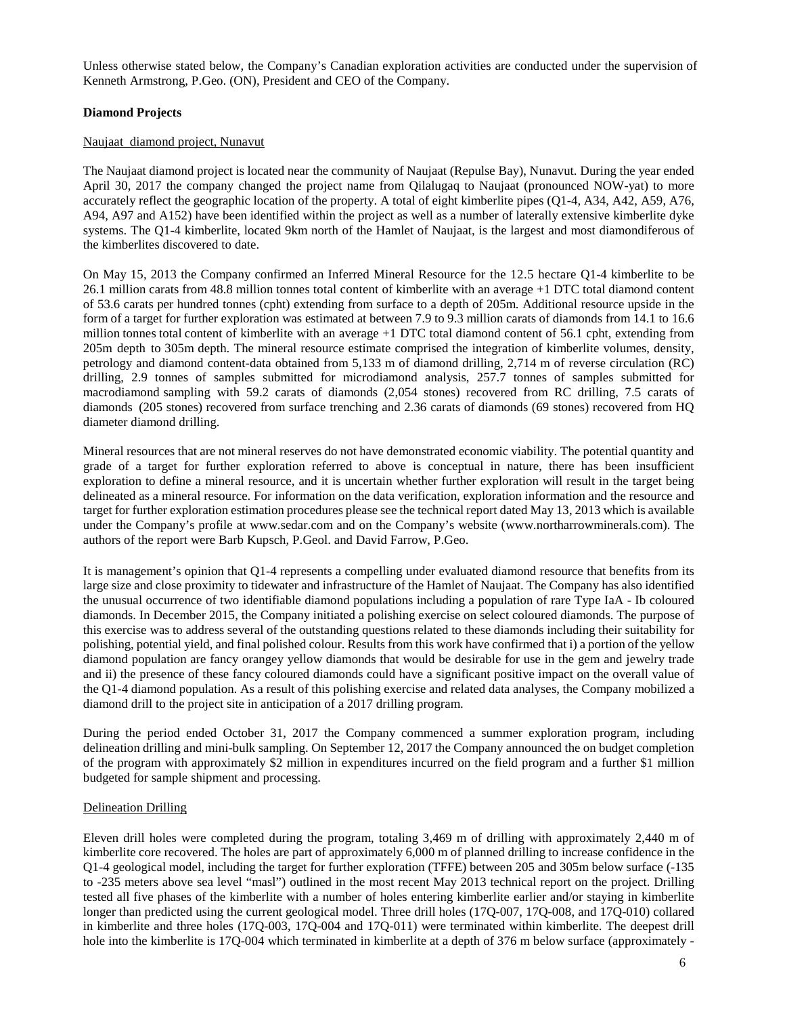Unless otherwise stated below, the Company's Canadian exploration activities are conducted under the supervision of Kenneth Armstrong, P.Geo. (ON), President and CEO of the Company.

# **Diamond Projects**

#### Naujaat diamond project, Nunavut

The Naujaat diamond project is located near the community of Naujaat (Repulse Bay), Nunavut. During the year ended April 30, 2017 the company changed the project name from Qilalugaq to Naujaat (pronounced NOW-yat) to more accurately reflect the geographic location of the property. A total of eight kimberlite pipes (Q1-4, A34, A42, A59, A76, A94, A97 and A152) have been identified within the project as well as a number of laterally extensive kimberlite dyke systems. The Q1-4 kimberlite, located 9km north of the Hamlet of Naujaat, is the largest and most diamondiferous of the kimberlites discovered to date.

On May 15, 2013 the Company confirmed an Inferred Mineral Resource for the 12.5 hectare Q1-4 kimberlite to be 26.1 million carats from 48.8 million tonnes total content of kimberlite with an average +1 DTC total diamond content of 53.6 carats per hundred tonnes (cpht) extending from surface to a depth of 205m. Additional resource upside in the form of a target for further exploration was estimated at between 7.9 to 9.3 million carats of diamonds from 14.1 to 16.6 million tonnes total content of kimberlite with an average +1 DTC total diamond content of 56.1 cpht, extending from 205m depth to 305m depth. The mineral resource estimate comprised the integration of kimberlite volumes, density, petrology and diamond content-data obtained from 5,133 m of diamond drilling, 2,714 m of reverse circulation (RC) drilling, 2.9 tonnes of samples submitted for microdiamond analysis, 257.7 tonnes of samples submitted for macrodiamond sampling with 59.2 carats of diamonds (2,054 stones) recovered from RC drilling, 7.5 carats of diamonds (205 stones) recovered from surface trenching and 2.36 carats of diamonds (69 stones) recovered from HQ diameter diamond drilling.

Mineral resources that are not mineral reserves do not have demonstrated economic viability. The potential quantity and grade of a target for further exploration referred to above is conceptual in nature, there has been insufficient exploration to define a mineral resource, and it is uncertain whether further exploration will result in the target being delineated as a mineral resource. For information on the data verification, exploration information and the resource and target for further exploration estimation procedures please see the technical report dated May 13, 2013 which is available under the Company's profile at [www.sedar.com](http://www.sedar.com/) and on the Company's website [\(www.northarrowminerals.com\)](http://www.northarrowminerals.com/). The authors of the report were Barb Kupsch, P.Geol. and David Farrow, P.Geo.

It is management's opinion that Q1-4 represents a compelling under evaluated diamond resource that benefits from its large size and close proximity to tidewater and infrastructure of the Hamlet of Naujaat. The Company has also identified the unusual occurrence of two identifiable diamond populations including a population of rare Type IaA - Ib coloured diamonds. In December 2015, the Company initiated a polishing exercise on select coloured diamonds. The purpose of this exercise was to address several of the outstanding questions related to these diamonds including their suitability for polishing, potential yield, and final polished colour. Results from this work have confirmed that i) a portion of the yellow diamond population are fancy orangey yellow diamonds that would be desirable for use in the gem and jewelry trade and ii) the presence of these fancy coloured diamonds could have a significant positive impact on the overall value of the Q1-4 diamond population. As a result of this polishing exercise and related data analyses, the Company mobilized a diamond drill to the project site in anticipation of a 2017 drilling program.

During the period ended October 31, 2017 the Company commenced a summer exploration program, including delineation drilling and mini-bulk sampling. On September 12, 2017 the Company announced the on budget completion of the program with approximately \$2 million in expenditures incurred on the field program and a further \$1 million budgeted for sample shipment and processing.

#### Delineation Drilling

Eleven drill holes were completed during the program, totaling 3,469 m of drilling with approximately 2,440 m of kimberlite core recovered. The holes are part of approximately 6,000 m of planned drilling to increase confidence in the Q1-4 geological model, including the target for further exploration (TFFE) between 205 and 305m below surface (-135 to -235 meters above sea level "masl") outlined in the most recent May 2013 technical report on the project. Drilling tested all five phases of the kimberlite with a number of holes entering kimberlite earlier and/or staying in kimberlite longer than predicted using the current geological model. Three drill holes (17Q-007, 17Q-008, and 17Q-010) collared in kimberlite and three holes (17Q-003, 17Q-004 and 17Q-011) were terminated within kimberlite. The deepest drill hole into the kimberlite is 17Q-004 which terminated in kimberlite at a depth of 376 m below surface (approximately -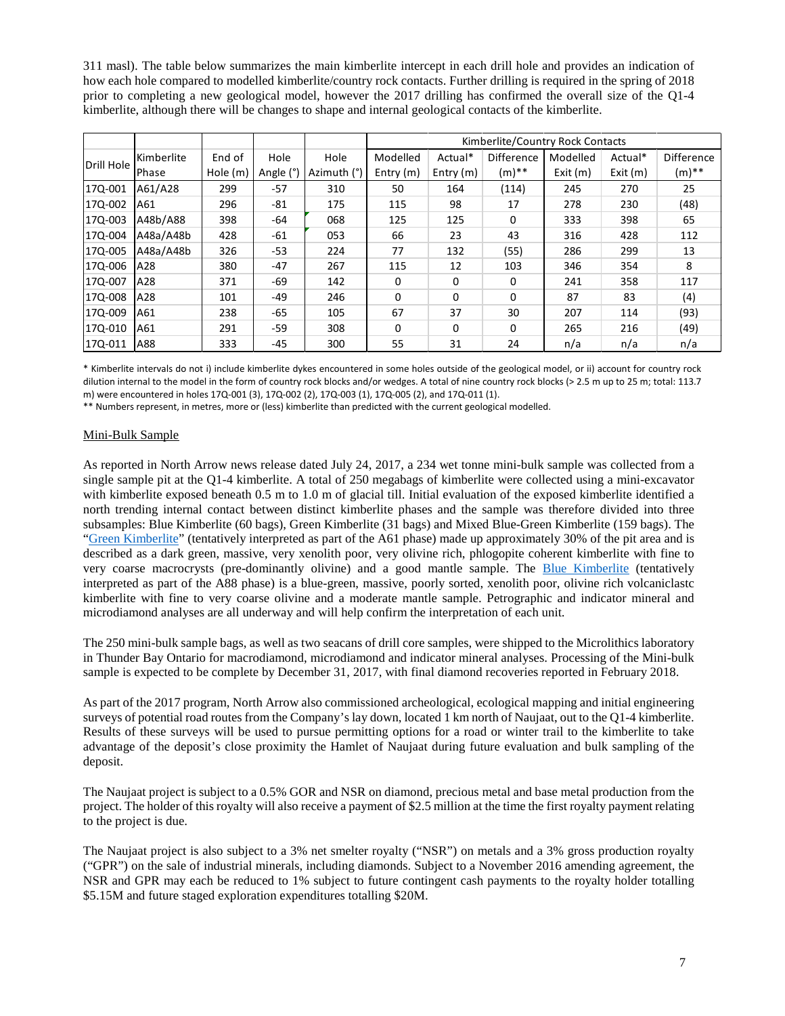311 masl). The table below summarizes the main kimberlite intercept in each drill hole and provides an indication of how each hole compared to modelled kimberlite/country rock contacts. Further drilling is required in the spring of 2018 prior to completing a new geological model, however the 2017 drilling has confirmed the overall size of the Q1-4 kimberlite, although there will be changes to shape and internal geological contacts of the kimberlite.

|            |            |          |           |             | Kimberlite/Country Rock Contacts |             |                   |          |         |                   |
|------------|------------|----------|-----------|-------------|----------------------------------|-------------|-------------------|----------|---------|-------------------|
|            | Kimberlite | End of   | Hole      | Hole        | Modelled                         | Actual*     | <b>Difference</b> | Modelled | Actual* | <b>Difference</b> |
| Drill Hole | Phase      | Hole (m) | Angle (°) | Azimuth (°) | Entry $(m)$                      | Entry $(m)$ | $(m)$ **          | Exit(m)  | Exit(m) | (m)**             |
| 170-001    | A61/A28    | 299      | $-57$     | 310         | 50                               | 164         | (114)             | 245      | 270     | 25                |
| 17Q-002    | A61        | 296      | $-81$     | 175         | 115                              | 98          | 17                | 278      | 230     | (48)              |
| 170-003    | A48b/A88   | 398      | -64       | 068         | 125                              | 125         | 0                 | 333      | 398     | 65                |
| 17Q-004    | A48a/A48b  | 428      | -61       | 053         | 66                               | 23          | 43                | 316      | 428     | 112               |
| 17Q-005    | A48a/A48b  | 326      | $-53$     | 224         | 77                               | 132         | (55)              | 286      | 299     | 13                |
| 17Q-006    | A28        | 380      | $-47$     | 267         | 115                              | 12          | 103               | 346      | 354     | 8                 |
| 170-007    | A28        | 371      | -69       | 142         | $\Omega$                         | $\Omega$    | 0                 | 241      | 358     | 117               |
| 17Q-008    | A28        | 101      | $-49$     | 246         | $\Omega$                         | $\Omega$    | $\Omega$          | 87       | 83      | (4)               |
| 17Q-009    | A61        | 238      | $-65$     | 105         | 67                               | 37          | 30                | 207      | 114     | (93)              |
| 170-010    | A61        | 291      | $-59$     | 308         | $\Omega$                         | $\Omega$    | $\Omega$          | 265      | 216     | (49)              |
| 17Q-011    | A88        | 333      | $-45$     | 300         | 55                               | 31          | 24                | n/a      | n/a     | n/a               |

\* Kimberlite intervals do not i) include kimberlite dykes encountered in some holes outside of the geological model, or ii) account for country rock dilution internal to the model in the form of country rock blocks and/or wedges. A total of nine country rock blocks (> 2.5 m up to 25 m; total: 113.7 m) were encountered in holes 17Q-001 (3), 17Q-002 (2), 17Q-003 (1), 17Q-005 (2), and 17Q-011 (1).

\*\* Numbers represent, in metres, more or (less) kimberlite than predicted with the current geological modelled.

# Mini-Bulk Sample

As reported in North Arrow news release dated July 24, 2017, a 234 wet tonne mini-bulk sample was collected from a single sample pit at the Q1-4 kimberlite. A total of 250 megabags of kimberlite were collected using a mini-excavator with kimberlite exposed beneath 0.5 m to 1.0 m of glacial till. Initial evaluation of the exposed kimberlite identified a north trending internal contact between distinct kimberlite phases and the sample was therefore divided into three subsamples: Blue Kimberlite (60 bags), Green Kimberlite (31 bags) and Mixed Blue-Green Kimberlite (159 bags). The ["Green Kimberlite"](https://flic.kr/p/WEAA3U) (tentatively interpreted as part of the A61 phase) made up approximately 30% of the pit area and is described as a dark green, massive, very xenolith poor, very olivine rich, phlogopite coherent kimberlite with fine to very coarse macrocrysts (pre-dominantly olivine) and a good mantle sample. The [Blue Kimberlite](https://flic.kr/p/WkiHG7) (tentatively interpreted as part of the A88 phase) is a blue-green, massive, poorly sorted, xenolith poor, olivine rich volcaniclastc kimberlite with fine to very coarse olivine and a moderate mantle sample. Petrographic and indicator mineral and microdiamond analyses are all underway and will help confirm the interpretation of each unit.

The 250 mini-bulk sample bags, as well as two seacans of drill core samples, were shipped to the Microlithics laboratory in Thunder Bay Ontario for macrodiamond, microdiamond and indicator mineral analyses. Processing of the Mini-bulk sample is expected to be complete by December 31, 2017, with final diamond recoveries reported in February 2018.

As part of the 2017 program, North Arrow also commissioned archeological, ecological mapping and initial engineering surveys of potential road routes from the Company's lay down, located 1 km north of Naujaat, out to the Q1-4 kimberlite. Results of these surveys will be used to pursue permitting options for a road or winter trail to the kimberlite to take advantage of the deposit's close proximity the Hamlet of Naujaat during future evaluation and bulk sampling of the deposit.

The Naujaat project is subject to a 0.5% GOR and NSR on diamond, precious metal and base metal production from the project. The holder of this royalty will also receive a payment of \$2.5 million at the time the first royalty payment relating to the project is due.

The Naujaat project is also subject to a 3% net smelter royalty ("NSR") on metals and a 3% gross production royalty ("GPR") on the sale of industrial minerals, including diamonds. Subject to a November 2016 amending agreement, the NSR and GPR may each be reduced to 1% subject to future contingent cash payments to the royalty holder totalling \$5.15M and future staged exploration expenditures totalling \$20M.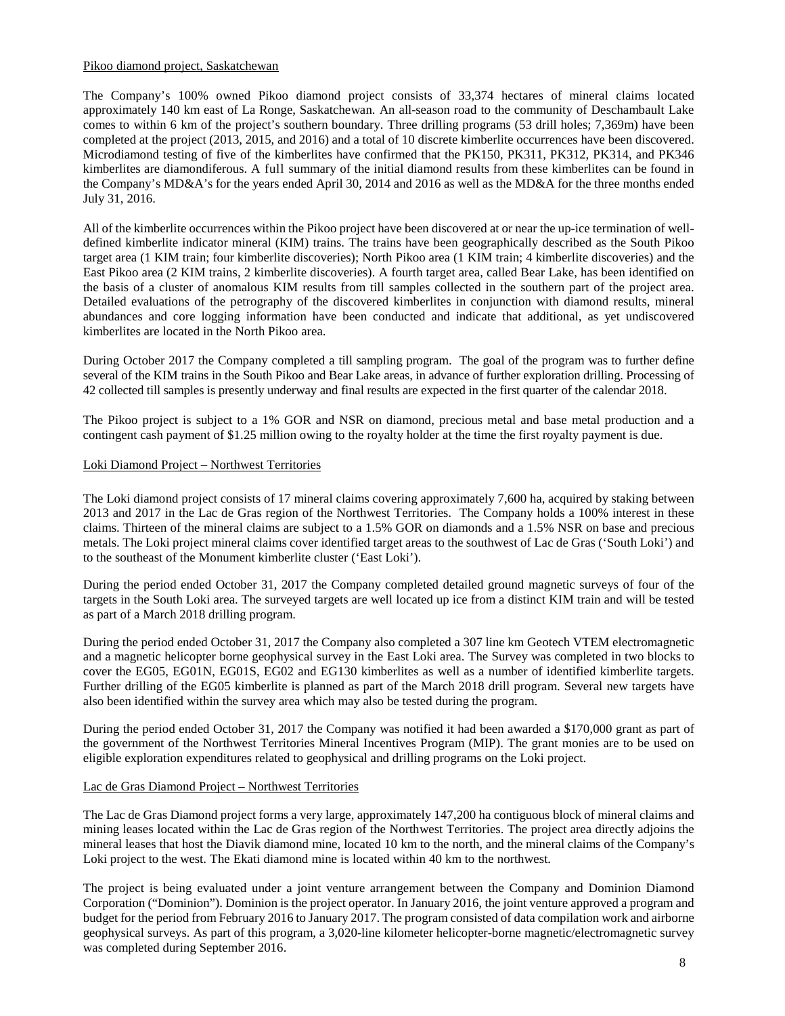### Pikoo diamond project, Saskatchewan

The Company's 100% owned Pikoo diamond project consists of 33,374 hectares of mineral claims located approximately 140 km east of La Ronge, Saskatchewan. An all-season road to the community of Deschambault Lake comes to within 6 km of the project's southern boundary. Three drilling programs (53 drill holes; 7,369m) have been completed at the project (2013, 2015, and 2016) and a total of 10 discrete kimberlite occurrences have been discovered. Microdiamond testing of five of the kimberlites have confirmed that the PK150, PK311, PK312, PK314, and PK346 kimberlites are diamondiferous. A full summary of the initial diamond results from these kimberlites can be found in the Company's MD&A's for the years ended April 30, 2014 and 2016 as well as the MD&A for the three months ended July 31, 2016.

All of the kimberlite occurrences within the Pikoo project have been discovered at or near the up-ice termination of welldefined kimberlite indicator mineral (KIM) trains. The trains have been geographically described as the South Pikoo target area (1 KIM train; four kimberlite discoveries); North Pikoo area (1 KIM train; 4 kimberlite discoveries) and the East Pikoo area (2 KIM trains, 2 kimberlite discoveries). A fourth target area, called Bear Lake, has been identified on the basis of a cluster of anomalous KIM results from till samples collected in the southern part of the project area. Detailed evaluations of the petrography of the discovered kimberlites in conjunction with diamond results, mineral abundances and core logging information have been conducted and indicate that additional, as yet undiscovered kimberlites are located in the North Pikoo area.

During October 2017 the Company completed a till sampling program. The goal of the program was to further define several of the KIM trains in the South Pikoo and Bear Lake areas, in advance of further exploration drilling. Processing of 42 collected till samples is presently underway and final results are expected in the first quarter of the calendar 2018.

The Pikoo project is subject to a 1% GOR and NSR on diamond, precious metal and base metal production and a contingent cash payment of \$1.25 million owing to the royalty holder at the time the first royalty payment is due.

### Loki Diamond Project – Northwest Territories

The Loki diamond project consists of 17 mineral claims covering approximately 7,600 ha, acquired by staking between 2013 and 2017 in the Lac de Gras region of the Northwest Territories. The Company holds a 100% interest in these claims. Thirteen of the mineral claims are subject to a 1.5% GOR on diamonds and a 1.5% NSR on base and precious metals. The Loki project mineral claims cover identified target areas to the southwest of Lac de Gras ('South Loki') and to the southeast of the Monument kimberlite cluster ('East Loki').

During the period ended October 31, 2017 the Company completed detailed ground magnetic surveys of four of the targets in the South Loki area. The surveyed targets are well located up ice from a distinct KIM train and will be tested as part of a March 2018 drilling program.

During the period ended October 31, 2017 the Company also completed a 307 line km Geotech VTEM electromagnetic and a magnetic helicopter borne geophysical survey in the East Loki area. The Survey was completed in two blocks to cover the EG05, EG01N, EG01S, EG02 and EG130 kimberlites as well as a number of identified kimberlite targets. Further drilling of the EG05 kimberlite is planned as part of the March 2018 drill program. Several new targets have also been identified within the survey area which may also be tested during the program.

During the period ended October 31, 2017 the Company was notified it had been awarded a \$170,000 grant as part of the government of the Northwest Territories Mineral Incentives Program (MIP). The grant monies are to be used on eligible exploration expenditures related to geophysical and drilling programs on the Loki project.

# Lac de Gras Diamond Project – Northwest Territories

The Lac de Gras Diamond project forms a very large, approximately 147,200 ha contiguous block of mineral claims and mining leases located within the Lac de Gras region of the Northwest Territories. The project area directly adjoins the mineral leases that host the Diavik diamond mine, located 10 km to the north, and the mineral claims of the Company's Loki project to the west. The Ekati diamond mine is located within 40 km to the northwest.

The project is being evaluated under a joint venture arrangement between the Company and Dominion Diamond Corporation ("Dominion"). Dominion is the project operator. In January 2016, the joint venture approved a program and budget for the period from February 2016 to January 2017. The program consisted of data compilation work and airborne geophysical surveys. As part of this program, a 3,020-line kilometer helicopter-borne magnetic/electromagnetic survey was completed during September 2016.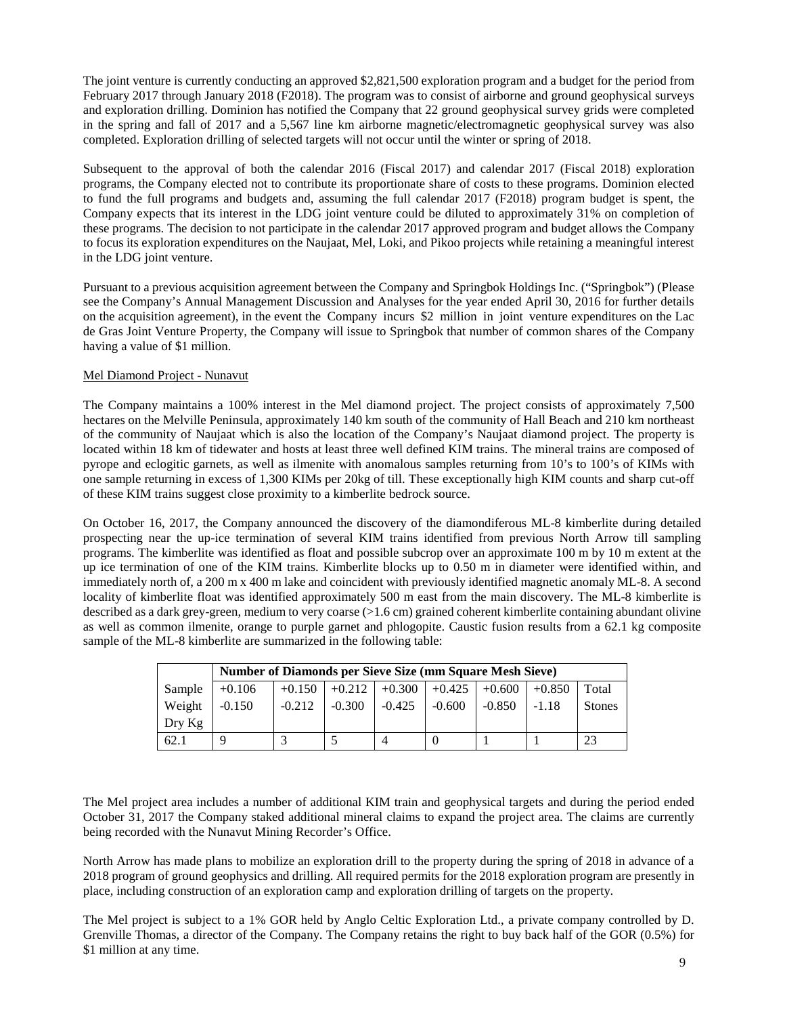The joint venture is currently conducting an approved \$2,821,500 exploration program and a budget for the period from February 2017 through January 2018 (F2018). The program was to consist of airborne and ground geophysical surveys and exploration drilling. Dominion has notified the Company that 22 ground geophysical survey grids were completed in the spring and fall of 2017 and a 5,567 line km airborne magnetic/electromagnetic geophysical survey was also completed. Exploration drilling of selected targets will not occur until the winter or spring of 2018.

Subsequent to the approval of both the calendar 2016 (Fiscal 2017) and calendar 2017 (Fiscal 2018) exploration programs, the Company elected not to contribute its proportionate share of costs to these programs. Dominion elected to fund the full programs and budgets and, assuming the full calendar 2017 (F2018) program budget is spent, the Company expects that its interest in the LDG joint venture could be diluted to approximately 31% on completion of these programs. The decision to not participate in the calendar 2017 approved program and budget allows the Company to focus its exploration expenditures on the Naujaat, Mel, Loki, and Pikoo projects while retaining a meaningful interest in the LDG joint venture.

Pursuant to a previous acquisition agreement between the Company and Springbok Holdings Inc. ("Springbok") (Please see the Company's Annual Management Discussion and Analyses for the year ended April 30, 2016 for further details on the acquisition agreement), in the event the Company incurs \$2 million in joint venture expenditures on the Lac de Gras Joint Venture Property, the Company will issue to Springbok that number of common shares of the Company having a value of \$1 million.

### Mel Diamond Project - Nunavut

The Company maintains a 100% interest in the Mel diamond project. The project consists of approximately 7,500 hectares on the Melville Peninsula, approximately 140 km south of the community of Hall Beach and 210 km northeast of the community of Naujaat which is also the location of the Company's Naujaat diamond project. The property is located within 18 km of tidewater and hosts at least three well defined KIM trains. The mineral trains are composed of pyrope and eclogitic garnets, as well as ilmenite with anomalous samples returning from 10's to 100's of KIMs with one sample returning in excess of 1,300 KIMs per 20kg of till. These exceptionally high KIM counts and sharp cut-off of these KIM trains suggest close proximity to a kimberlite bedrock source.

On October 16, 2017, the Company announced the discovery of the diamondiferous ML-8 kimberlite during detailed prospecting near the up-ice termination of several KIM trains identified from previous North Arrow till sampling programs. The kimberlite was identified as float and possible subcrop over an approximate 100 m by 10 m extent at the up ice termination of one of the KIM trains. Kimberlite blocks up to 0.50 m in diameter were identified within, and immediately north of, a 200 m x 400 m lake and coincident with previously identified magnetic anomaly ML-8. A second locality of kimberlite float was identified approximately 500 m east from the main discovery. The ML-8 kimberlite is described as a dark grey-green, medium to very coarse (>1.6 cm) grained coherent kimberlite containing abundant olivine as well as common ilmenite, orange to purple garnet and phlogopite. Caustic fusion results from a 62.1 kg composite sample of the ML-8 kimberlite are summarized in the following table:

|          | <b>Number of Diamonds per Sieve Size (mm Square Mesh Sieve)</b> |          |          |          |          |          |          |               |
|----------|-----------------------------------------------------------------|----------|----------|----------|----------|----------|----------|---------------|
| Sample   | $+0.106$                                                        | $+0.150$ | $+0.212$ | $+0.300$ | $+0.425$ | $+0.600$ | $+0.850$ | Total         |
| Weight   | $-0.150$                                                        | $-0.212$ | $-0.300$ | $-0.425$ | $-0.600$ | $-0.850$ | $-1.18$  | <b>Stones</b> |
| $Drv$ Kg |                                                                 |          |          |          |          |          |          |               |
| 62.1     | 9                                                               |          |          |          |          |          |          | 23            |

The Mel project area includes a number of additional KIM train and geophysical targets and during the period ended October 31, 2017 the Company staked additional mineral claims to expand the project area. The claims are currently being recorded with the Nunavut Mining Recorder's Office.

North Arrow has made plans to mobilize an exploration drill to the property during the spring of 2018 in advance of a 2018 program of ground geophysics and drilling. All required permits for the 2018 exploration program are presently in place, including construction of an exploration camp and exploration drilling of targets on the property.

The Mel project is subject to a 1% GOR held by Anglo Celtic Exploration Ltd., a private company controlled by D. Grenville Thomas, a director of the Company. The Company retains the right to buy back half of the GOR (0.5%) for \$1 million at any time.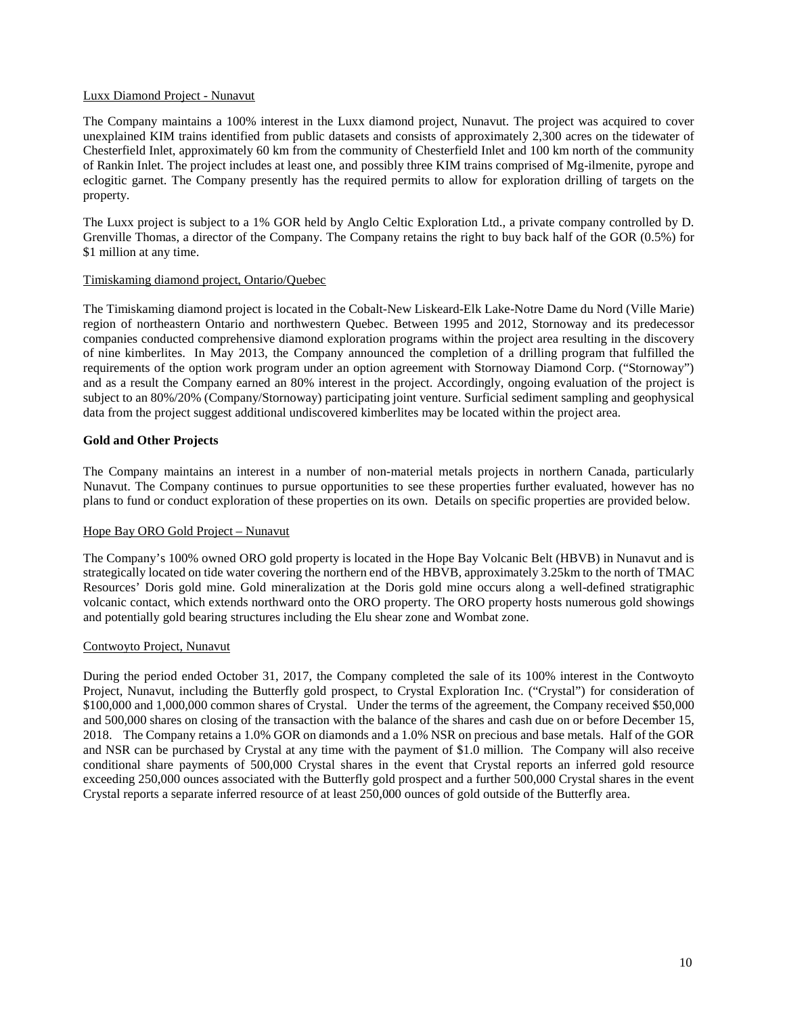### Luxx Diamond Project - Nunavut

The Company maintains a 100% interest in the Luxx diamond project, Nunavut. The project was acquired to cover unexplained KIM trains identified from public datasets and consists of approximately 2,300 acres on the tidewater of Chesterfield Inlet, approximately 60 km from the community of Chesterfield Inlet and 100 km north of the community of Rankin Inlet. The project includes at least one, and possibly three KIM trains comprised of Mg-ilmenite, pyrope and eclogitic garnet. The Company presently has the required permits to allow for exploration drilling of targets on the property.

The Luxx project is subject to a 1% GOR held by Anglo Celtic Exploration Ltd., a private company controlled by D. Grenville Thomas, a director of the Company. The Company retains the right to buy back half of the GOR (0.5%) for \$1 million at any time.

#### Timiskaming diamond project, Ontario/Quebec

The Timiskaming diamond project is located in the Cobalt-New Liskeard-Elk Lake-Notre Dame du Nord (Ville Marie) region of northeastern Ontario and northwestern Quebec. Between 1995 and 2012, Stornoway and its predecessor companies conducted comprehensive diamond exploration programs within the project area resulting in the discovery of nine kimberlites. In May 2013, the Company announced the completion of a drilling program that fulfilled the requirements of the option work program under an option agreement with Stornoway Diamond Corp. ("Stornoway") and as a result the Company earned an 80% interest in the project. Accordingly, ongoing evaluation of the project is subject to an 80%/20% (Company/Stornoway) participating joint venture. Surficial sediment sampling and geophysical data from the project suggest additional undiscovered kimberlites may be located within the project area.

#### **Gold and Other Projects**

The Company maintains an interest in a number of non-material metals projects in northern Canada, particularly Nunavut. The Company continues to pursue opportunities to see these properties further evaluated, however has no plans to fund or conduct exploration of these properties on its own. Details on specific properties are provided below.

### Hope Bay ORO Gold Project – Nunavut

The Company's 100% owned ORO gold property is located in the Hope Bay Volcanic Belt (HBVB) in Nunavut and is strategically located on tide water covering the northern end of the HBVB, approximately 3.25km to the north of TMAC Resources' Doris gold mine. Gold mineralization at the Doris gold mine occurs along a well-defined stratigraphic volcanic contact, which extends northward onto the ORO property. The ORO property hosts numerous gold showings and potentially gold bearing structures including the Elu shear zone and Wombat zone.

#### Contwoyto Project, Nunavut

During the period ended October 31, 2017, the Company completed the sale of its 100% interest in the Contwoyto Project, Nunavut, including the Butterfly gold prospect, to Crystal Exploration Inc. ("Crystal") for consideration of \$100,000 and 1,000,000 common shares of Crystal. Under the terms of the agreement, the Company received \$50,000 and 500,000 shares on closing of the transaction with the balance of the shares and cash due on or before December 15, 2018. The Company retains a 1.0% GOR on diamonds and a 1.0% NSR on precious and base metals. Half of the GOR and NSR can be purchased by Crystal at any time with the payment of \$1.0 million. The Company will also receive conditional share payments of 500,000 Crystal shares in the event that Crystal reports an inferred gold resource exceeding 250,000 ounces associated with the Butterfly gold prospect and a further 500,000 Crystal shares in the event Crystal reports a separate inferred resource of at least 250,000 ounces of gold outside of the Butterfly area.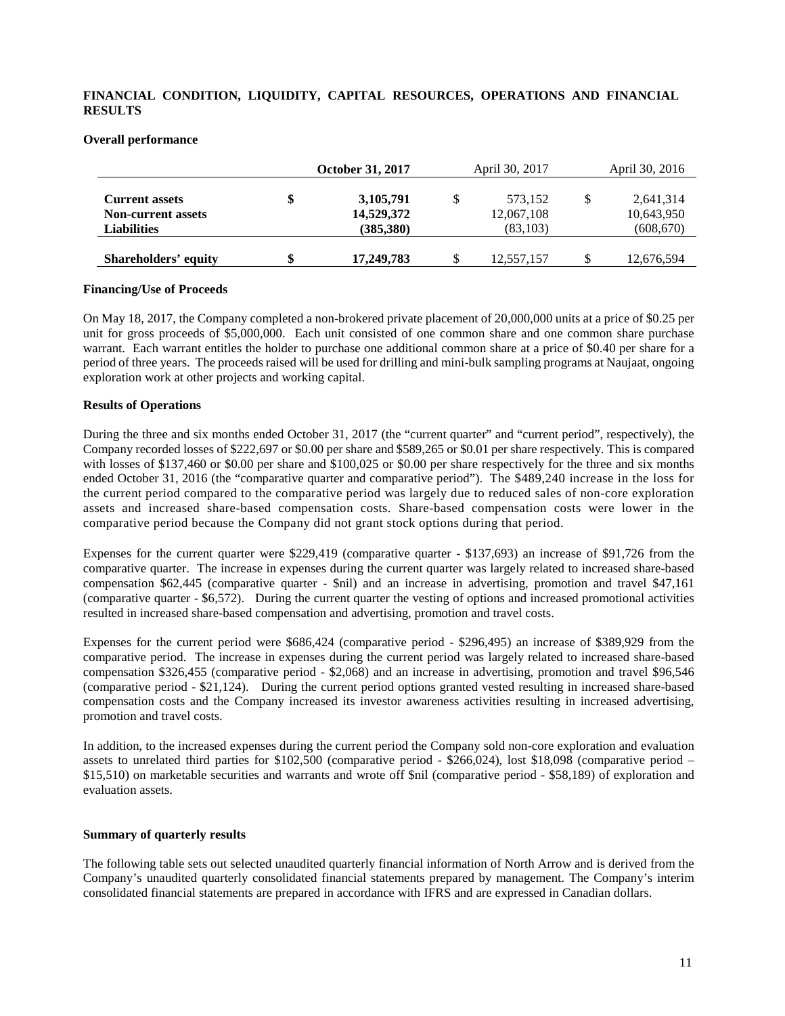# **FINANCIAL CONDITION, LIQUIDITY, CAPITAL RESOURCES, OPERATIONS AND FINANCIAL RESULTS**

|                                                                          | October 31, 2017                              | April 30, 2017                    | April 30, 2016                        |
|--------------------------------------------------------------------------|-----------------------------------------------|-----------------------------------|---------------------------------------|
| <b>Current assets</b><br><b>Non-current assets</b><br><b>Liabilities</b> | \$<br>3, 105, 791<br>14,529,372<br>(385, 380) | 573,152<br>12,067,108<br>(83,103) | 2,641,314<br>10,643,950<br>(608, 670) |
| Shareholders' equity                                                     | \$<br>17,249,783                              | 12,557,157                        | \$<br>12,676,594                      |

#### **Overall performance**

### **Financing/Use of Proceeds**

On May 18, 2017, the Company completed a non-brokered private placement of 20,000,000 units at a price of \$0.25 per unit for gross proceeds of \$5,000,000. Each unit consisted of one common share and one common share purchase warrant. Each warrant entitles the holder to purchase one additional common share at a price of \$0.40 per share for a period of three years. The proceeds raised will be used for drilling and mini-bulk sampling programs at Naujaat, ongoing exploration work at other projects and working capital.

### **Results of Operations**

During the three and six months ended October 31, 2017 (the "current quarter" and "current period", respectively), the Company recorded losses of \$222,697 or \$0.00 per share and \$589,265 or \$0.01 per share respectively. This is compared with losses of \$137,460 or \$0.00 per share and \$100,025 or \$0.00 per share respectively for the three and six months ended October 31, 2016 (the "comparative quarter and comparative period"). The \$489,240 increase in the loss for the current period compared to the comparative period was largely due to reduced sales of non-core exploration assets and increased share-based compensation costs. Share-based compensation costs were lower in the comparative period because the Company did not grant stock options during that period.

Expenses for the current quarter were \$229,419 (comparative quarter - \$137,693) an increase of \$91,726 from the comparative quarter. The increase in expenses during the current quarter was largely related to increased share-based compensation \$62,445 (comparative quarter - \$nil) and an increase in advertising, promotion and travel \$47,161 (comparative quarter - \$6,572). During the current quarter the vesting of options and increased promotional activities resulted in increased share-based compensation and advertising, promotion and travel costs.

Expenses for the current period were \$686,424 (comparative period - \$296,495) an increase of \$389,929 from the comparative period. The increase in expenses during the current period was largely related to increased share-based compensation \$326,455 (comparative period - \$2,068) and an increase in advertising, promotion and travel \$96,546 (comparative period - \$21,124). During the current period options granted vested resulting in increased share-based compensation costs and the Company increased its investor awareness activities resulting in increased advertising, promotion and travel costs.

In addition, to the increased expenses during the current period the Company sold non-core exploration and evaluation assets to unrelated third parties for \$102,500 (comparative period - \$266,024), lost \$18,098 (comparative period – \$15,510) on marketable securities and warrants and wrote off \$nil (comparative period - \$58,189) of exploration and evaluation assets.

#### **Summary of quarterly results**

The following table sets out selected unaudited quarterly financial information of North Arrow and is derived from the Company's unaudited quarterly consolidated financial statements prepared by management. The Company's interim consolidated financial statements are prepared in accordance with IFRS and are expressed in Canadian dollars.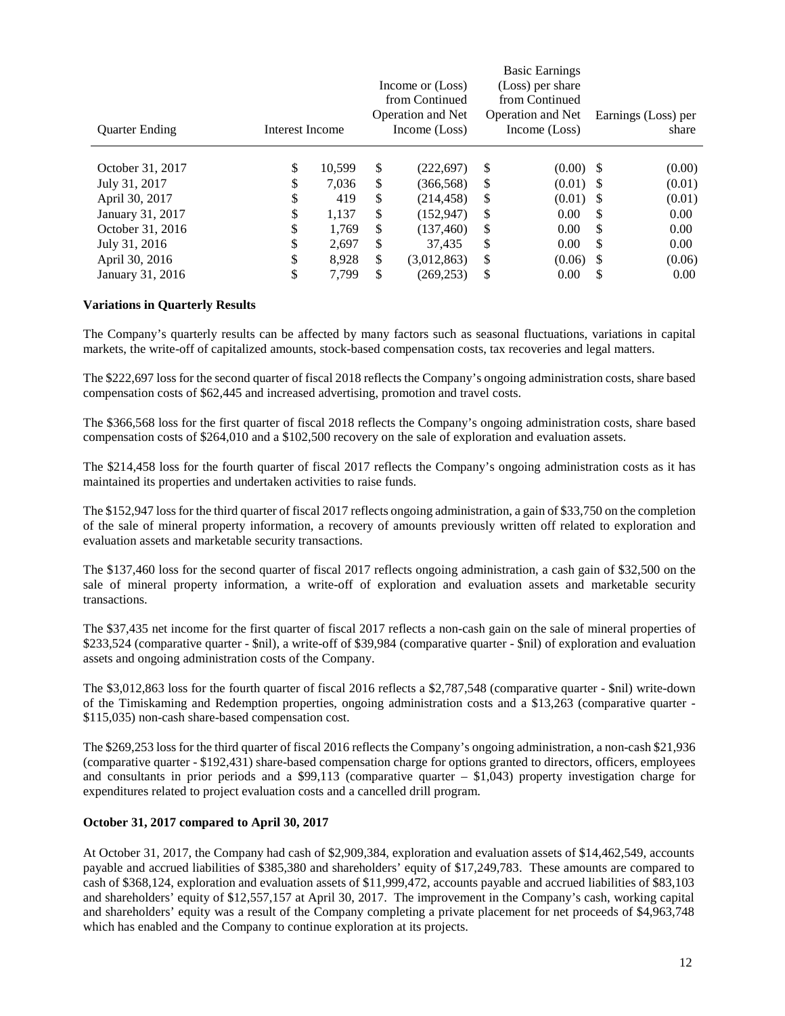| <b>Ouarter Ending</b> | Interest Income |        | Income or (Loss)<br>from Continued<br><b>Operation and Net</b><br>Income (Loss) | <b>Basic Earnings</b><br>(Loss) per share<br>from Continued<br><b>Operation and Net</b><br>Income (Loss) | Earnings (Loss) per<br>share |
|-----------------------|-----------------|--------|---------------------------------------------------------------------------------|----------------------------------------------------------------------------------------------------------|------------------------------|
| October 31, 2017      | \$              | 10.599 | \$<br>(222, 697)                                                                | \$<br>$(0.00)$ \$                                                                                        | (0.00)                       |
|                       |                 |        |                                                                                 |                                                                                                          |                              |
| July 31, 2017         | \$              | 7.036  | \$<br>(366, 568)                                                                | \$<br>$(0.01)$ \$                                                                                        | (0.01)                       |
| April 30, 2017        | \$              | 419    | \$<br>(214, 458)                                                                | \$<br>$(0.01)$ \$                                                                                        | (0.01)                       |
| January 31, 2017      | \$              | 1,137  | \$<br>(152, 947)                                                                | \$<br>0.00                                                                                               | \$<br>0.00                   |
| October 31, 2016      | \$              | 1.769  | \$<br>(137, 460)                                                                | \$<br>0.00                                                                                               | \$<br>0.00                   |
| July 31, 2016         | \$              | 2,697  | \$<br>37.435                                                                    | \$<br>0.00                                                                                               | \$<br>0.00                   |
| April 30, 2016        | \$              | 8,928  | \$<br>(3,012,863)                                                               | \$<br>$(0.06)$ \$                                                                                        | (0.06)                       |
| January 31, 2016      | \$              | 7.799  | \$<br>(269, 253)                                                                | \$<br>0.00                                                                                               | \$<br>0.00                   |

### **Variations in Quarterly Results**

The Company's quarterly results can be affected by many factors such as seasonal fluctuations, variations in capital markets, the write-off of capitalized amounts, stock-based compensation costs, tax recoveries and legal matters.

The \$222,697 loss for the second quarter of fiscal 2018 reflects the Company's ongoing administration costs, share based compensation costs of \$62,445 and increased advertising, promotion and travel costs.

The \$366,568 loss for the first quarter of fiscal 2018 reflects the Company's ongoing administration costs, share based compensation costs of \$264,010 and a \$102,500 recovery on the sale of exploration and evaluation assets.

The \$214,458 loss for the fourth quarter of fiscal 2017 reflects the Company's ongoing administration costs as it has maintained its properties and undertaken activities to raise funds.

The \$152,947 loss for the third quarter of fiscal 2017 reflects ongoing administration, a gain of \$33,750 on the completion of the sale of mineral property information, a recovery of amounts previously written off related to exploration and evaluation assets and marketable security transactions.

The \$137,460 loss for the second quarter of fiscal 2017 reflects ongoing administration, a cash gain of \$32,500 on the sale of mineral property information, a write-off of exploration and evaluation assets and marketable security transactions.

The \$37,435 net income for the first quarter of fiscal 2017 reflects a non-cash gain on the sale of mineral properties of \$233,524 (comparative quarter - \$nil), a write-off of \$39,984 (comparative quarter - \$nil) of exploration and evaluation assets and ongoing administration costs of the Company.

The \$3,012,863 loss for the fourth quarter of fiscal 2016 reflects a \$2,787,548 (comparative quarter - \$nil) write-down of the Timiskaming and Redemption properties, ongoing administration costs and a \$13,263 (comparative quarter - \$115,035) non-cash share-based compensation cost.

The \$269,253 loss for the third quarter of fiscal 2016 reflects the Company's ongoing administration, a non-cash \$21,936 (comparative quarter - \$192,431) share-based compensation charge for options granted to directors, officers, employees and consultants in prior periods and a \$99,113 (comparative quarter – \$1,043) property investigation charge for expenditures related to project evaluation costs and a cancelled drill program.

#### **October 31, 2017 compared to April 30, 2017**

At October 31, 2017, the Company had cash of \$2,909,384, exploration and evaluation assets of \$14,462,549, accounts payable and accrued liabilities of \$385,380 and shareholders' equity of \$17,249,783. These amounts are compared to cash of \$368,124, exploration and evaluation assets of \$11,999,472, accounts payable and accrued liabilities of \$83,103 and shareholders' equity of \$12,557,157 at April 30, 2017. The improvement in the Company's cash, working capital and shareholders' equity was a result of the Company completing a private placement for net proceeds of \$4,963,748 which has enabled and the Company to continue exploration at its projects.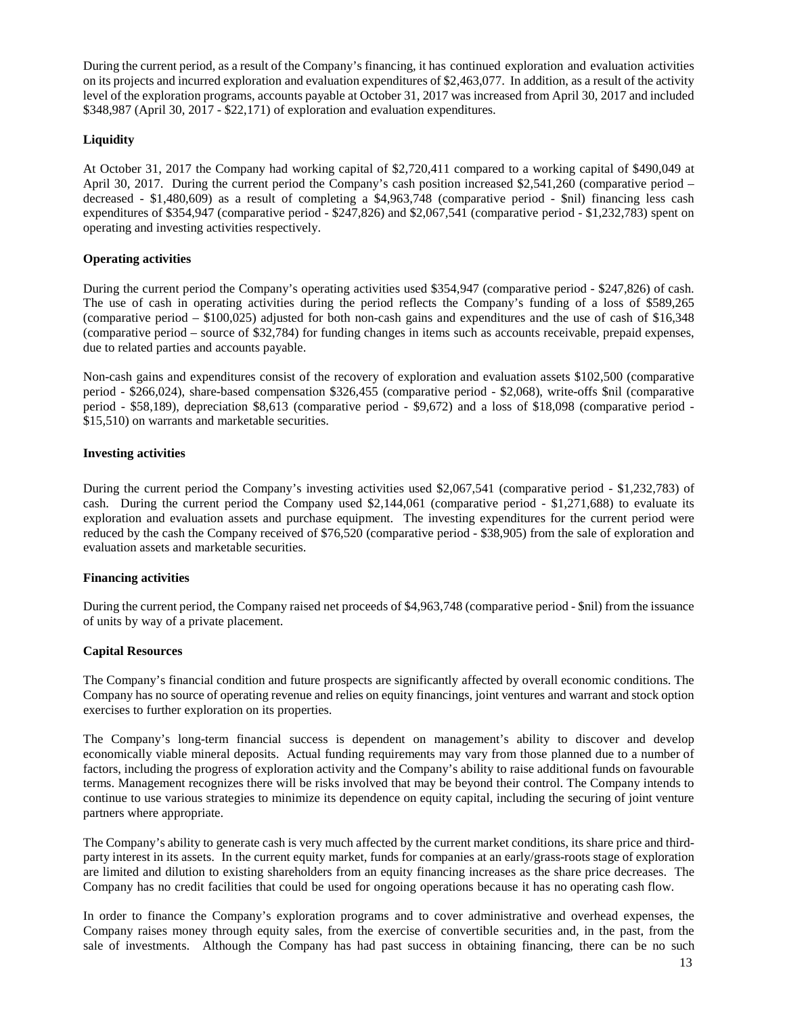During the current period, as a result of the Company's financing, it has continued exploration and evaluation activities on its projects and incurred exploration and evaluation expenditures of \$2,463,077. In addition, as a result of the activity level of the exploration programs, accounts payable at October 31, 2017 was increased from April 30, 2017 and included \$348,987 (April 30, 2017 - \$22,171) of exploration and evaluation expenditures.

# **Liquidity**

At October 31, 2017 the Company had working capital of \$2,720,411 compared to a working capital of \$490,049 at April 30, 2017. During the current period the Company's cash position increased \$2,541,260 (comparative period – decreased - \$1,480,609) as a result of completing a \$4,963,748 (comparative period - \$nil) financing less cash expenditures of \$354,947 (comparative period - \$247,826) and \$2,067,541 (comparative period - \$1,232,783) spent on operating and investing activities respectively.

# **Operating activities**

During the current period the Company's operating activities used \$354,947 (comparative period - \$247,826) of cash. The use of cash in operating activities during the period reflects the Company's funding of a loss of \$589,265 (comparative period – \$100,025) adjusted for both non-cash gains and expenditures and the use of cash of \$16,348 (comparative period – source of \$32,784) for funding changes in items such as accounts receivable, prepaid expenses, due to related parties and accounts payable.

Non-cash gains and expenditures consist of the recovery of exploration and evaluation assets \$102,500 (comparative period - \$266,024), share-based compensation \$326,455 (comparative period - \$2,068), write-offs \$nil (comparative period - \$58,189), depreciation \$8,613 (comparative period - \$9,672) and a loss of \$18,098 (comparative period - \$15,510) on warrants and marketable securities.

# **Investing activities**

During the current period the Company's investing activities used \$2,067,541 (comparative period - \$1,232,783) of cash. During the current period the Company used \$2,144,061 (comparative period - \$1,271,688) to evaluate its exploration and evaluation assets and purchase equipment. The investing expenditures for the current period were reduced by the cash the Company received of \$76,520 (comparative period - \$38,905) from the sale of exploration and evaluation assets and marketable securities.

# **Financing activities**

During the current period, the Company raised net proceeds of \$4,963,748 (comparative period - \$nil) from the issuance of units by way of a private placement.

# **Capital Resources**

The Company's financial condition and future prospects are significantly affected by overall economic conditions. The Company has no source of operating revenue and relies on equity financings, joint ventures and warrant and stock option exercises to further exploration on its properties.

The Company's long-term financial success is dependent on management's ability to discover and develop economically viable mineral deposits. Actual funding requirements may vary from those planned due to a number of factors, including the progress of exploration activity and the Company's ability to raise additional funds on favourable terms. Management recognizes there will be risks involved that may be beyond their control. The Company intends to continue to use various strategies to minimize its dependence on equity capital, including the securing of joint venture partners where appropriate.

The Company's ability to generate cash is very much affected by the current market conditions, its share price and thirdparty interest in its assets. In the current equity market, funds for companies at an early/grass-roots stage of exploration are limited and dilution to existing shareholders from an equity financing increases as the share price decreases. The Company has no credit facilities that could be used for ongoing operations because it has no operating cash flow.

In order to finance the Company's exploration programs and to cover administrative and overhead expenses, the Company raises money through equity sales, from the exercise of convertible securities and, in the past, from the sale of investments. Although the Company has had past success in obtaining financing, there can be no such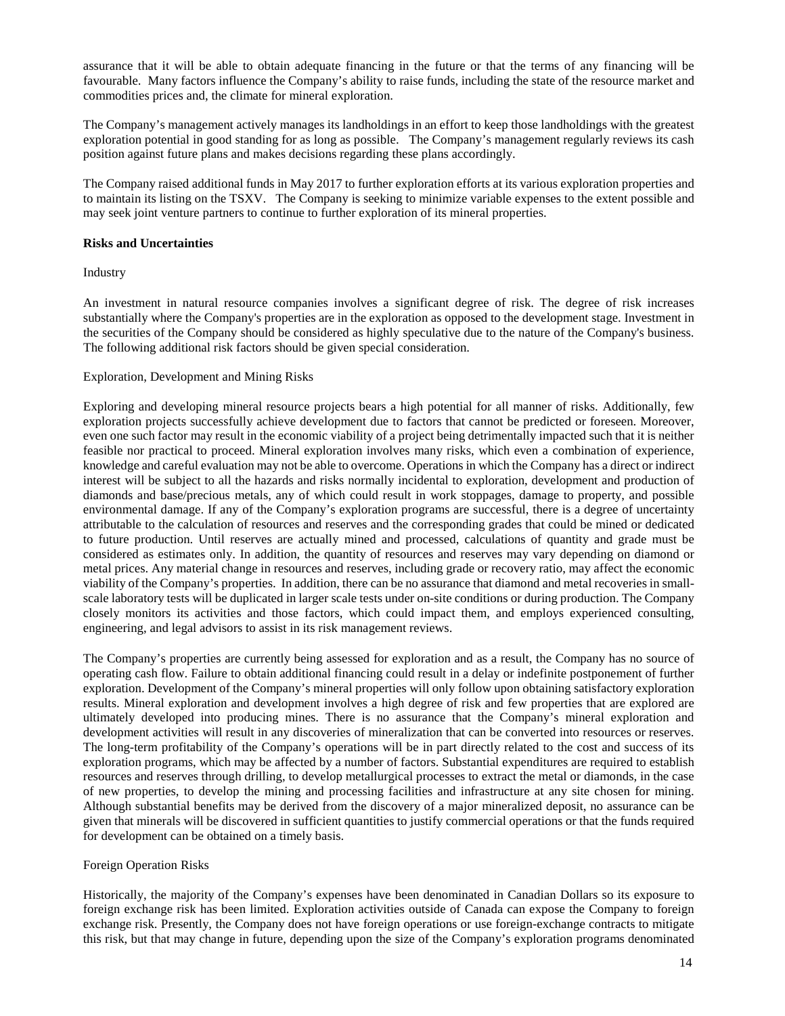assurance that it will be able to obtain adequate financing in the future or that the terms of any financing will be favourable. Many factors influence the Company's ability to raise funds, including the state of the resource market and commodities prices and, the climate for mineral exploration.

The Company's management actively manages its landholdings in an effort to keep those landholdings with the greatest exploration potential in good standing for as long as possible. The Company's management regularly reviews its cash position against future plans and makes decisions regarding these plans accordingly.

The Company raised additional funds in May 2017 to further exploration efforts at its various exploration properties and to maintain its listing on the TSXV. The Company is seeking to minimize variable expenses to the extent possible and may seek joint venture partners to continue to further exploration of its mineral properties.

# **Risks and Uncertainties**

Industry

An investment in natural resource companies involves a significant degree of risk. The degree of risk increases substantially where the Company's properties are in the exploration as opposed to the development stage. Investment in the securities of the Company should be considered as highly speculative due to the nature of the Company's business. The following additional risk factors should be given special consideration.

### Exploration, Development and Mining Risks

Exploring and developing mineral resource projects bears a high potential for all manner of risks. Additionally, few exploration projects successfully achieve development due to factors that cannot be predicted or foreseen. Moreover, even one such factor may result in the economic viability of a project being detrimentally impacted such that it is neither feasible nor practical to proceed. Mineral exploration involves many risks, which even a combination of experience, knowledge and careful evaluation may not be able to overcome. Operations in which the Company has a direct or indirect interest will be subject to all the hazards and risks normally incidental to exploration, development and production of diamonds and base/precious metals, any of which could result in work stoppages, damage to property, and possible environmental damage. If any of the Company's exploration programs are successful, there is a degree of uncertainty attributable to the calculation of resources and reserves and the corresponding grades that could be mined or dedicated to future production. Until reserves are actually mined and processed, calculations of quantity and grade must be considered as estimates only. In addition, the quantity of resources and reserves may vary depending on diamond or metal prices. Any material change in resources and reserves, including grade or recovery ratio, may affect the economic viability of the Company's properties. In addition, there can be no assurance that diamond and metal recoveries in smallscale laboratory tests will be duplicated in larger scale tests under on-site conditions or during production. The Company closely monitors its activities and those factors, which could impact them, and employs experienced consulting, engineering, and legal advisors to assist in its risk management reviews.

The Company's properties are currently being assessed for exploration and as a result, the Company has no source of operating cash flow. Failure to obtain additional financing could result in a delay or indefinite postponement of further exploration. Development of the Company's mineral properties will only follow upon obtaining satisfactory exploration results. Mineral exploration and development involves a high degree of risk and few properties that are explored are ultimately developed into producing mines. There is no assurance that the Company's mineral exploration and development activities will result in any discoveries of mineralization that can be converted into resources or reserves. The long-term profitability of the Company's operations will be in part directly related to the cost and success of its exploration programs, which may be affected by a number of factors. Substantial expenditures are required to establish resources and reserves through drilling, to develop metallurgical processes to extract the metal or diamonds, in the case of new properties, to develop the mining and processing facilities and infrastructure at any site chosen for mining. Although substantial benefits may be derived from the discovery of a major mineralized deposit, no assurance can be given that minerals will be discovered in sufficient quantities to justify commercial operations or that the funds required for development can be obtained on a timely basis.

#### Foreign Operation Risks

Historically, the majority of the Company's expenses have been denominated in Canadian Dollars so its exposure to foreign exchange risk has been limited. Exploration activities outside of Canada can expose the Company to foreign exchange risk. Presently, the Company does not have foreign operations or use foreign-exchange contracts to mitigate this risk, but that may change in future, depending upon the size of the Company's exploration programs denominated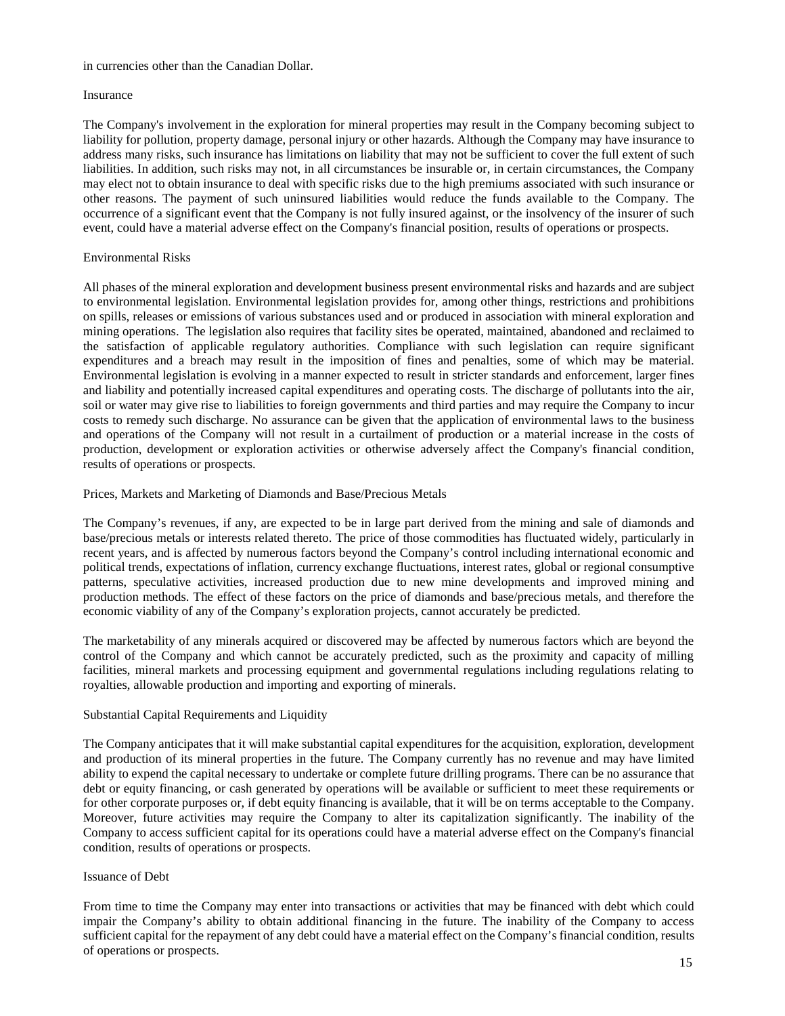#### in currencies other than the Canadian Dollar.

#### Insurance

The Company's involvement in the exploration for mineral properties may result in the Company becoming subject to liability for pollution, property damage, personal injury or other hazards. Although the Company may have insurance to address many risks, such insurance has limitations on liability that may not be sufficient to cover the full extent of such liabilities. In addition, such risks may not, in all circumstances be insurable or, in certain circumstances, the Company may elect not to obtain insurance to deal with specific risks due to the high premiums associated with such insurance or other reasons. The payment of such uninsured liabilities would reduce the funds available to the Company. The occurrence of a significant event that the Company is not fully insured against, or the insolvency of the insurer of such event, could have a material adverse effect on the Company's financial position, results of operations or prospects.

# Environmental Risks

All phases of the mineral exploration and development business present environmental risks and hazards and are subject to environmental legislation. Environmental legislation provides for, among other things, restrictions and prohibitions on spills, releases or emissions of various substances used and or produced in association with mineral exploration and mining operations. The legislation also requires that facility sites be operated, maintained, abandoned and reclaimed to the satisfaction of applicable regulatory authorities. Compliance with such legislation can require significant expenditures and a breach may result in the imposition of fines and penalties, some of which may be material. Environmental legislation is evolving in a manner expected to result in stricter standards and enforcement, larger fines and liability and potentially increased capital expenditures and operating costs. The discharge of pollutants into the air, soil or water may give rise to liabilities to foreign governments and third parties and may require the Company to incur costs to remedy such discharge. No assurance can be given that the application of environmental laws to the business and operations of the Company will not result in a curtailment of production or a material increase in the costs of production, development or exploration activities or otherwise adversely affect the Company's financial condition, results of operations or prospects.

Prices, Markets and Marketing of Diamonds and Base/Precious Metals

The Company's revenues, if any, are expected to be in large part derived from the mining and sale of diamonds and base/precious metals or interests related thereto. The price of those commodities has fluctuated widely, particularly in recent years, and is affected by numerous factors beyond the Company's control including international economic and political trends, expectations of inflation, currency exchange fluctuations, interest rates, global or regional consumptive patterns, speculative activities, increased production due to new mine developments and improved mining and production methods. The effect of these factors on the price of diamonds and base/precious metals, and therefore the economic viability of any of the Company's exploration projects, cannot accurately be predicted.

The marketability of any minerals acquired or discovered may be affected by numerous factors which are beyond the control of the Company and which cannot be accurately predicted, such as the proximity and capacity of milling facilities, mineral markets and processing equipment and governmental regulations including regulations relating to royalties, allowable production and importing and exporting of minerals.

# Substantial Capital Requirements and Liquidity

The Company anticipates that it will make substantial capital expenditures for the acquisition, exploration, development and production of its mineral properties in the future. The Company currently has no revenue and may have limited ability to expend the capital necessary to undertake or complete future drilling programs. There can be no assurance that debt or equity financing, or cash generated by operations will be available or sufficient to meet these requirements or for other corporate purposes or, if debt equity financing is available, that it will be on terms acceptable to the Company. Moreover, future activities may require the Company to alter its capitalization significantly. The inability of the Company to access sufficient capital for its operations could have a material adverse effect on the Company's financial condition, results of operations or prospects.

#### Issuance of Debt

From time to time the Company may enter into transactions or activities that may be financed with debt which could impair the Company's ability to obtain additional financing in the future. The inability of the Company to access sufficient capital for the repayment of any debt could have a material effect on the Company's financial condition, results of operations or prospects.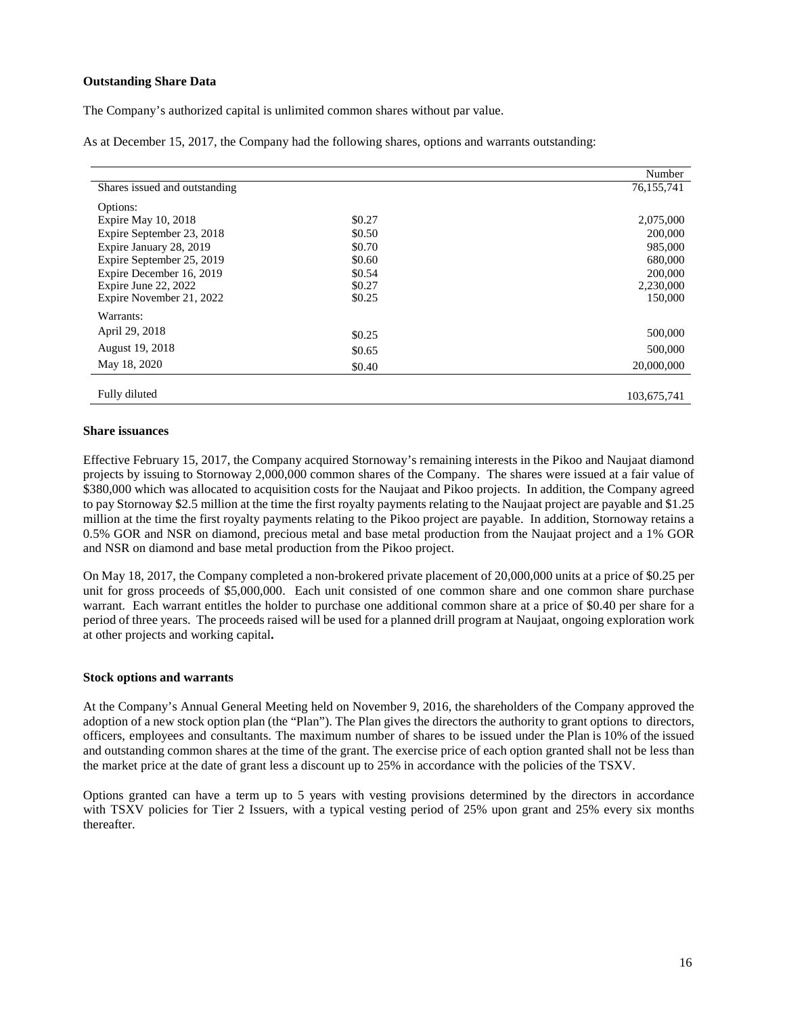# **Outstanding Share Data**

The Company's authorized capital is unlimited common shares without par value.

As at December 15, 2017, the Company had the following shares, options and warrants outstanding:

|                               |        | Number      |
|-------------------------------|--------|-------------|
| Shares issued and outstanding |        | 76,155,741  |
| Options:                      |        |             |
| Expire May 10, 2018           | \$0.27 | 2,075,000   |
| Expire September 23, 2018     | \$0.50 | 200,000     |
| Expire January 28, 2019       | \$0.70 | 985,000     |
| Expire September 25, 2019     | \$0.60 | 680,000     |
| Expire December 16, 2019      | \$0.54 | 200,000     |
| Expire June 22, 2022          | \$0.27 | 2,230,000   |
| Expire November 21, 2022      | \$0.25 | 150,000     |
| Warrants:                     |        |             |
| April 29, 2018                | \$0.25 | 500,000     |
| August 19, 2018               | \$0.65 | 500,000     |
| May 18, 2020                  | \$0.40 | 20,000,000  |
|                               |        |             |
| Fully diluted                 |        | 103,675,741 |

#### **Share issuances**

Effective February 15, 2017, the Company acquired Stornoway's remaining interests in the Pikoo and Naujaat diamond projects by issuing to Stornoway 2,000,000 common shares of the Company. The shares were issued at a fair value of \$380,000 which was allocated to acquisition costs for the Naujaat and Pikoo projects. In addition, the Company agreed to pay Stornoway \$2.5 million at the time the first royalty payments relating to the Naujaat project are payable and \$1.25 million at the time the first royalty payments relating to the Pikoo project are payable. In addition, Stornoway retains a 0.5% GOR and NSR on diamond, precious metal and base metal production from the Naujaat project and a 1% GOR and NSR on diamond and base metal production from the Pikoo project.

On May 18, 2017, the Company completed a non-brokered private placement of 20,000,000 units at a price of \$0.25 per unit for gross proceeds of \$5,000,000. Each unit consisted of one common share and one common share purchase warrant. Each warrant entitles the holder to purchase one additional common share at a price of \$0.40 per share for a period of three years. The proceeds raised will be used for a planned drill program at Naujaat, ongoing exploration work at other projects and working capital**.**

#### **Stock options and warrants**

At the Company's Annual General Meeting held on November 9, 2016, the shareholders of the Company approved the adoption of a new stock option plan (the "Plan"). The Plan gives the directors the authority to grant options to directors, officers, employees and consultants. The maximum number of shares to be issued under the Plan is 10% of the issued and outstanding common shares at the time of the grant. The exercise price of each option granted shall not be less than the market price at the date of grant less a discount up to 25% in accordance with the policies of the TSXV.

Options granted can have a term up to 5 years with vesting provisions determined by the directors in accordance with TSXV policies for Tier 2 Issuers, with a typical vesting period of 25% upon grant and 25% every six months thereafter.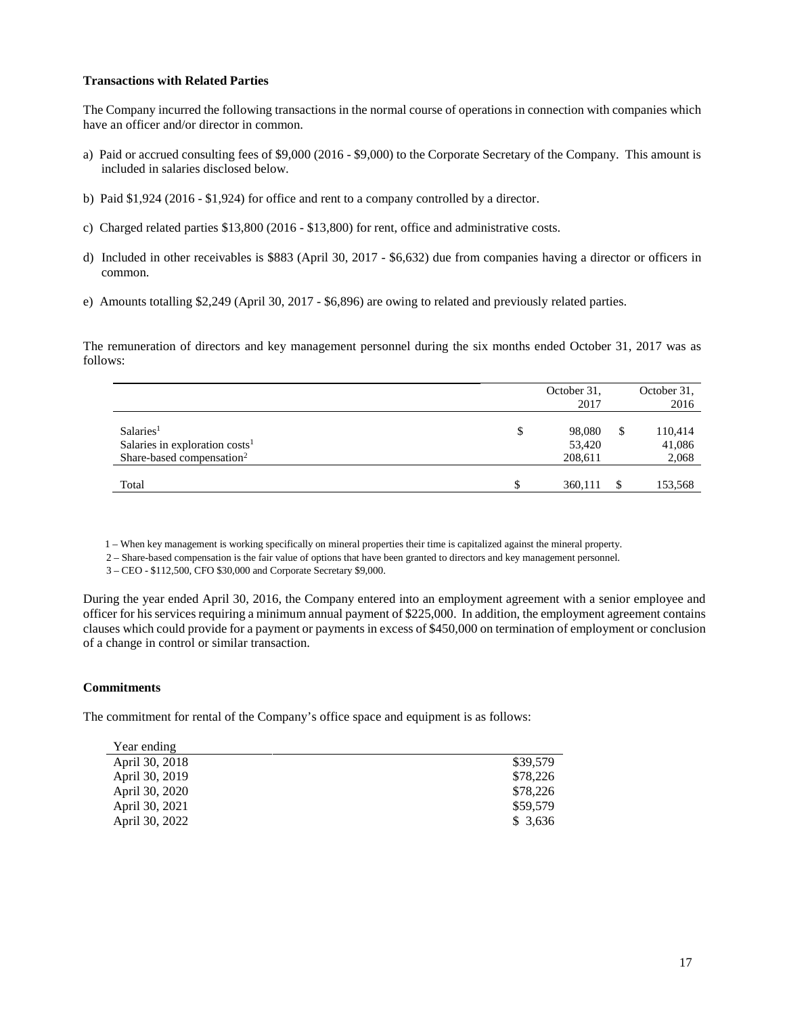### **Transactions with Related Parties**

The Company incurred the following transactions in the normal course of operations in connection with companies which have an officer and/or director in common.

- a) Paid or accrued consulting fees of \$9,000 (2016 \$9,000) to the Corporate Secretary of the Company. This amount is included in salaries disclosed below.
- b) Paid \$1,924 (2016 \$1,924) for office and rent to a company controlled by a director.
- c) Charged related parties \$13,800 (2016 \$13,800) for rent, office and administrative costs.
- d) Included in other receivables is \$883 (April 30, 2017 \$6,632) due from companies having a director or officers in common.
- e) Amounts totalling \$2,249 (April 30, 2017 \$6,896) are owing to related and previously related parties.

The remuneration of directors and key management personnel during the six months ended October 31, 2017 was as follows:

|                                                                                                    | October 31,<br>2017               |     | October 31,<br>2016        |
|----------------------------------------------------------------------------------------------------|-----------------------------------|-----|----------------------------|
| Salaries <sup>1</sup><br>Salaries in exploration $costs1$<br>Share-based compensation <sup>2</sup> | \$<br>98,080<br>53,420<br>208,611 | S   | 110,414<br>41,086<br>2,068 |
| Total                                                                                              | 360,111                           | \$. | 153,568                    |

1 – When key management is working specifically on mineral properties their time is capitalized against the mineral property.

2 – Share-based compensation is the fair value of options that have been granted to directors and key management personnel.

3 – CEO - \$112,500, CFO \$30,000 and Corporate Secretary \$9,000.

During the year ended April 30, 2016, the Company entered into an employment agreement with a senior employee and officer for his services requiring a minimum annual payment of \$225,000. In addition, the employment agreement contains clauses which could provide for a payment or payments in excess of \$450,000 on termination of employment or conclusion of a change in control or similar transaction.

### **Commitments**

The commitment for rental of the Company's office space and equipment is as follows:

| Year ending    |          |
|----------------|----------|
| April 30, 2018 | \$39,579 |
| April 30, 2019 | \$78,226 |
| April 30, 2020 | \$78,226 |
| April 30, 2021 | \$59,579 |
| April 30, 2022 | \$3,636  |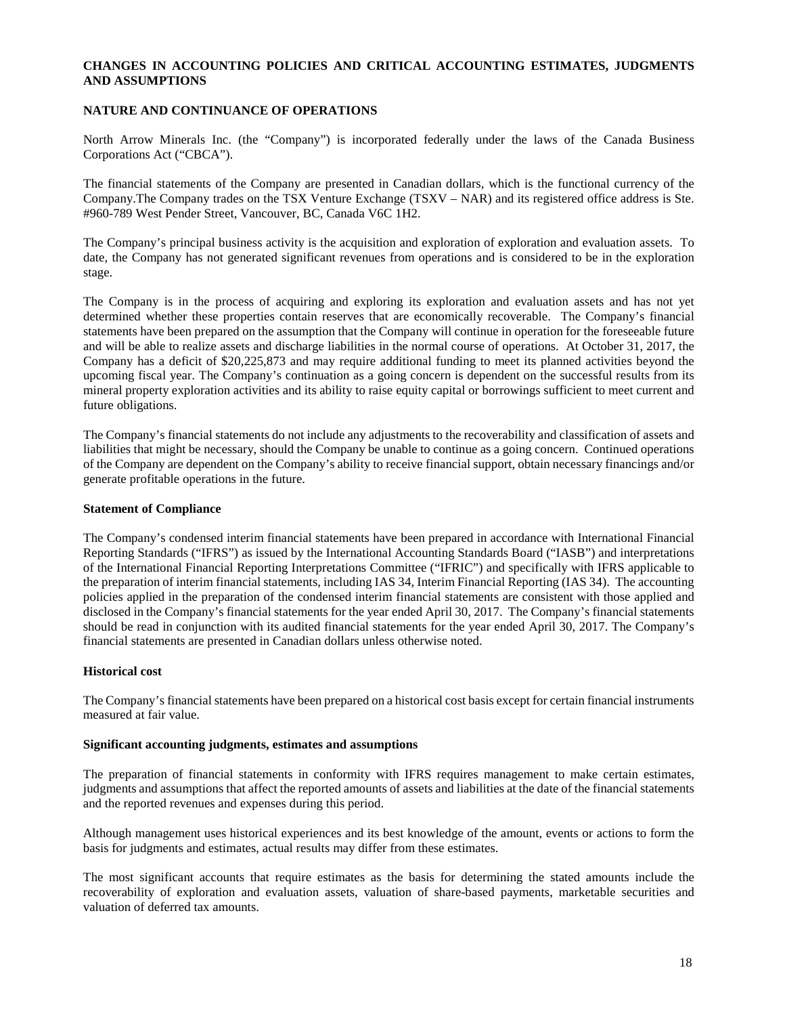# **CHANGES IN ACCOUNTING POLICIES AND CRITICAL ACCOUNTING ESTIMATES, JUDGMENTS AND ASSUMPTIONS**

### **NATURE AND CONTINUANCE OF OPERATIONS**

North Arrow Minerals Inc. (the "Company") is incorporated federally under the laws of the Canada Business Corporations Act ("CBCA").

The financial statements of the Company are presented in Canadian dollars, which is the functional currency of the Company.The Company trades on the TSX Venture Exchange (TSXV – NAR) and its registered office address is Ste. #960-789 West Pender Street, Vancouver, BC, Canada V6C 1H2.

The Company's principal business activity is the acquisition and exploration of exploration and evaluation assets. To date, the Company has not generated significant revenues from operations and is considered to be in the exploration stage.

The Company is in the process of acquiring and exploring its exploration and evaluation assets and has not yet determined whether these properties contain reserves that are economically recoverable. The Company's financial statements have been prepared on the assumption that the Company will continue in operation for the foreseeable future and will be able to realize assets and discharge liabilities in the normal course of operations. At October 31, 2017, the Company has a deficit of \$20,225,873 and may require additional funding to meet its planned activities beyond the upcoming fiscal year. The Company's continuation as a going concern is dependent on the successful results from its mineral property exploration activities and its ability to raise equity capital or borrowings sufficient to meet current and future obligations.

The Company's financial statements do not include any adjustments to the recoverability and classification of assets and liabilities that might be necessary, should the Company be unable to continue as a going concern. Continued operations of the Company are dependent on the Company's ability to receive financial support, obtain necessary financings and/or generate profitable operations in the future.

#### **Statement of Compliance**

The Company's condensed interim financial statements have been prepared in accordance with International Financial Reporting Standards ("IFRS") as issued by the International Accounting Standards Board ("IASB") and interpretations of the International Financial Reporting Interpretations Committee ("IFRIC") and specifically with IFRS applicable to the preparation of interim financial statements, including IAS 34, Interim Financial Reporting (IAS 34). The accounting policies applied in the preparation of the condensed interim financial statements are consistent with those applied and disclosed in the Company's financial statements for the year ended April 30, 2017. The Company's financial statements should be read in conjunction with its audited financial statements for the year ended April 30, 2017. The Company's financial statements are presented in Canadian dollars unless otherwise noted.

#### **Historical cost**

The Company's financial statements have been prepared on a historical cost basis except for certain financial instruments measured at fair value.

#### **Significant accounting judgments, estimates and assumptions**

The preparation of financial statements in conformity with IFRS requires management to make certain estimates, judgments and assumptions that affect the reported amounts of assets and liabilities at the date of the financial statements and the reported revenues and expenses during this period.

Although management uses historical experiences and its best knowledge of the amount, events or actions to form the basis for judgments and estimates, actual results may differ from these estimates.

The most significant accounts that require estimates as the basis for determining the stated amounts include the recoverability of exploration and evaluation assets, valuation of share-based payments, marketable securities and valuation of deferred tax amounts.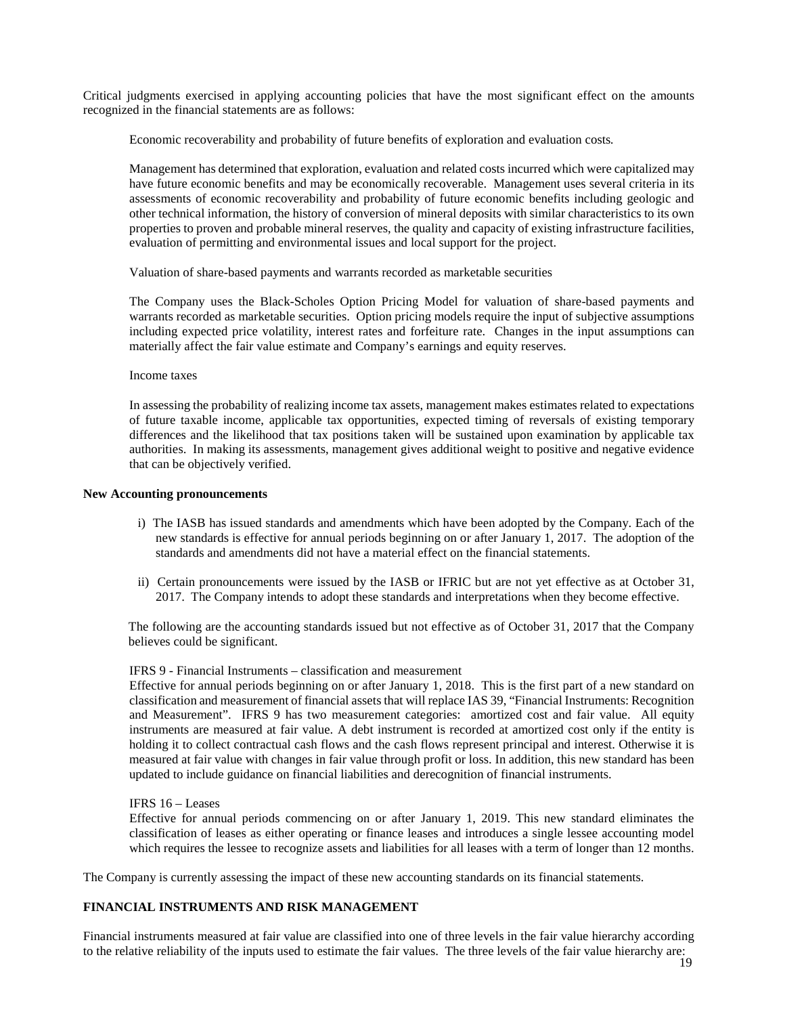Critical judgments exercised in applying accounting policies that have the most significant effect on the amounts recognized in the financial statements are as follows:

Economic recoverability and probability of future benefits of exploration and evaluation costs*.* 

Management has determined that exploration, evaluation and related costs incurred which were capitalized may have future economic benefits and may be economically recoverable. Management uses several criteria in its assessments of economic recoverability and probability of future economic benefits including geologic and other technical information, the history of conversion of mineral deposits with similar characteristics to its own properties to proven and probable mineral reserves, the quality and capacity of existing infrastructure facilities, evaluation of permitting and environmental issues and local support for the project.

Valuation of share-based payments and warrants recorded as marketable securities

The Company uses the Black-Scholes Option Pricing Model for valuation of share-based payments and warrants recorded as marketable securities. Option pricing models require the input of subjective assumptions including expected price volatility, interest rates and forfeiture rate. Changes in the input assumptions can materially affect the fair value estimate and Company's earnings and equity reserves.

#### Income taxes

In assessing the probability of realizing income tax assets, management makes estimates related to expectations of future taxable income, applicable tax opportunities, expected timing of reversals of existing temporary differences and the likelihood that tax positions taken will be sustained upon examination by applicable tax authorities. In making its assessments, management gives additional weight to positive and negative evidence that can be objectively verified.

### **New Accounting pronouncements**

- i) The IASB has issued standards and amendments which have been adopted by the Company. Each of the new standards is effective for annual periods beginning on or after January 1, 2017. The adoption of the standards and amendments did not have a material effect on the financial statements.
- ii) Certain pronouncements were issued by the IASB or IFRIC but are not yet effective as at October 31, 2017. The Company intends to adopt these standards and interpretations when they become effective.

The following are the accounting standards issued but not effective as of October 31, 2017 that the Company believes could be significant.

#### IFRS 9 - Financial Instruments – classification and measurement

Effective for annual periods beginning on or after January 1, 2018. This is the first part of a new standard on classification and measurement of financial assets that will replace IAS 39, "Financial Instruments: Recognition and Measurement". IFRS 9 has two measurement categories: amortized cost and fair value. All equity instruments are measured at fair value. A debt instrument is recorded at amortized cost only if the entity is holding it to collect contractual cash flows and the cash flows represent principal and interest. Otherwise it is measured at fair value with changes in fair value through profit or loss. In addition, this new standard has been updated to include guidance on financial liabilities and derecognition of financial instruments.

### IFRS 16 – Leases

Effective for annual periods commencing on or after January 1, 2019. This new standard eliminates the classification of leases as either operating or finance leases and introduces a single lessee accounting model which requires the lessee to recognize assets and liabilities for all leases with a term of longer than 12 months.

The Company is currently assessing the impact of these new accounting standards on its financial statements.

# **FINANCIAL INSTRUMENTS AND RISK MANAGEMENT**

Financial instruments measured at fair value are classified into one of three levels in the fair value hierarchy according to the relative reliability of the inputs used to estimate the fair values. The three levels of the fair value hierarchy are: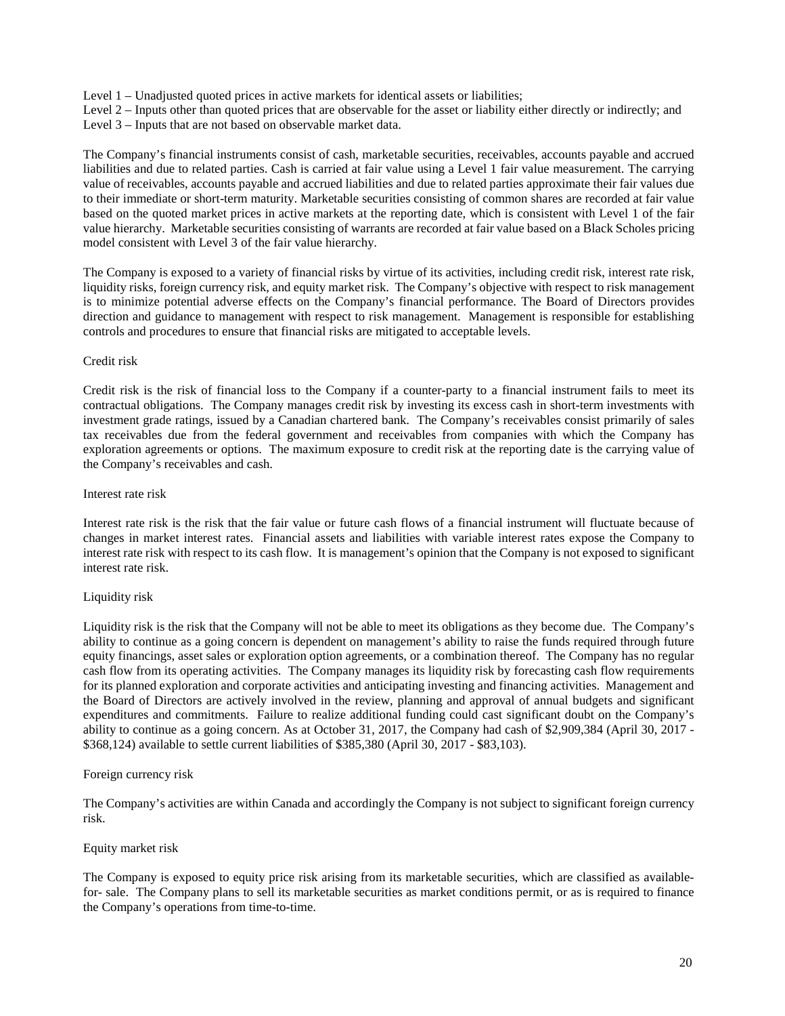Level 1 – Unadjusted quoted prices in active markets for identical assets or liabilities;

- Level 2 Inputs other than quoted prices that are observable for the asset or liability either directly or indirectly; and
- Level 3 Inputs that are not based on observable market data.

The Company's financial instruments consist of cash, marketable securities, receivables, accounts payable and accrued liabilities and due to related parties. Cash is carried at fair value using a Level 1 fair value measurement. The carrying value of receivables, accounts payable and accrued liabilities and due to related parties approximate their fair values due to their immediate or short-term maturity. Marketable securities consisting of common shares are recorded at fair value based on the quoted market prices in active markets at the reporting date, which is consistent with Level 1 of the fair value hierarchy. Marketable securities consisting of warrants are recorded at fair value based on a Black Scholes pricing model consistent with Level 3 of the fair value hierarchy.

The Company is exposed to a variety of financial risks by virtue of its activities, including credit risk, interest rate risk, liquidity risks, foreign currency risk, and equity market risk. The Company's objective with respect to risk management is to minimize potential adverse effects on the Company's financial performance. The Board of Directors provides direction and guidance to management with respect to risk management. Management is responsible for establishing controls and procedures to ensure that financial risks are mitigated to acceptable levels.

### Credit risk

Credit risk is the risk of financial loss to the Company if a counter-party to a financial instrument fails to meet its contractual obligations. The Company manages credit risk by investing its excess cash in short-term investments with investment grade ratings, issued by a Canadian chartered bank. The Company's receivables consist primarily of sales tax receivables due from the federal government and receivables from companies with which the Company has exploration agreements or options. The maximum exposure to credit risk at the reporting date is the carrying value of the Company's receivables and cash.

### Interest rate risk

Interest rate risk is the risk that the fair value or future cash flows of a financial instrument will fluctuate because of changes in market interest rates. Financial assets and liabilities with variable interest rates expose the Company to interest rate risk with respect to its cash flow. It is management's opinion that the Company is not exposed to significant interest rate risk.

# Liquidity risk

Liquidity risk is the risk that the Company will not be able to meet its obligations as they become due. The Company's ability to continue as a going concern is dependent on management's ability to raise the funds required through future equity financings, asset sales or exploration option agreements, or a combination thereof. The Company has no regular cash flow from its operating activities. The Company manages its liquidity risk by forecasting cash flow requirements for its planned exploration and corporate activities and anticipating investing and financing activities. Management and the Board of Directors are actively involved in the review, planning and approval of annual budgets and significant expenditures and commitments. Failure to realize additional funding could cast significant doubt on the Company's ability to continue as a going concern. As at October 31, 2017, the Company had cash of \$2,909,384 (April 30, 2017 - \$368,124) available to settle current liabilities of \$385,380 (April 30, 2017 - \$83,103).

# Foreign currency risk

The Company's activities are within Canada and accordingly the Company is not subject to significant foreign currency risk.

# Equity market risk

The Company is exposed to equity price risk arising from its marketable securities, which are classified as availablefor- sale. The Company plans to sell its marketable securities as market conditions permit, or as is required to finance the Company's operations from time-to-time.